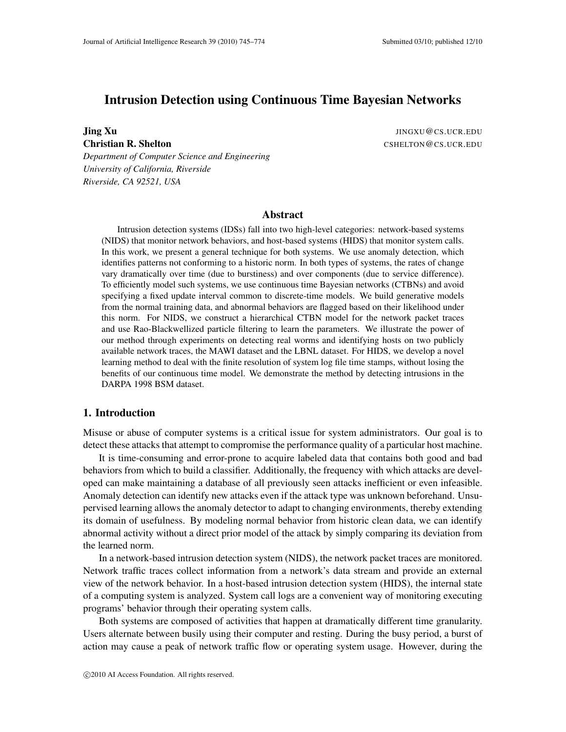# Intrusion Detection using Continuous Time Bayesian Networks

**Jing Xu** JINGXU @CS.UCR.EDU

*Department of Computer Science and Engineering University of California, Riverside Riverside, CA 92521, USA*

**Christian R. Shelton** CSHELTON CSHELTON CONTINUES

#### Abstract

Intrusion detection systems (IDSs) fall into two high-level categories: network-based systems (NIDS) that monitor network behaviors, and host-based systems (HIDS) that monitor system calls. In this work, we present a general technique for both systems. We use anomaly detection, which identifies patterns not conforming to a historic norm. In both types of systems, the rates of change vary dramatically over time (due to burstiness) and over components (due to service difference). To efficiently model such systems, we use continuous time Bayesian networks (CTBNs) and avoid specifying a fixed update interval common to discrete-time models. We build generative models from the normal training data, and abnormal behaviors are flagged based on their likelihood under this norm. For NIDS, we construct a hierarchical CTBN model for the network packet traces and use Rao-Blackwellized particle filtering to learn the parameters. We illustrate the power of our method through experiments on detecting real worms and identifying hosts on two publicly available network traces, the MAWI dataset and the LBNL dataset. For HIDS, we develop a novel learning method to deal with the finite resolution of system log file time stamps, without losing the benefits of our continuous time model. We demonstrate the method by detecting intrusions in the DARPA 1998 BSM dataset.

## 1. Introduction

Misuse or abuse of computer systems is a critical issue for system administrators. Our goal is to detect these attacks that attempt to compromise the performance quality of a particular host machine.

It is time-consuming and error-prone to acquire labeled data that contains both good and bad behaviors from which to build a classifier. Additionally, the frequency with which attacks are developed can make maintaining a database of all previously seen attacks inefficient or even infeasible. Anomaly detection can identify new attacks even if the attack type was unknown beforehand. Unsupervised learning allows the anomaly detector to adapt to changing environments, thereby extending its domain of usefulness. By modeling normal behavior from historic clean data, we can identify abnormal activity without a direct prior model of the attack by simply comparing its deviation from the learned norm.

In a network-based intrusion detection system (NIDS), the network packet traces are monitored. Network traffic traces collect information from a network's data stream and provide an external view of the network behavior. In a host-based intrusion detection system (HIDS), the internal state of a computing system is analyzed. System call logs are a convenient way of monitoring executing programs' behavior through their operating system calls.

Both systems are composed of activities that happen at dramatically different time granularity. Users alternate between busily using their computer and resting. During the busy period, a burst of action may cause a peak of network traffic flow or operating system usage. However, during the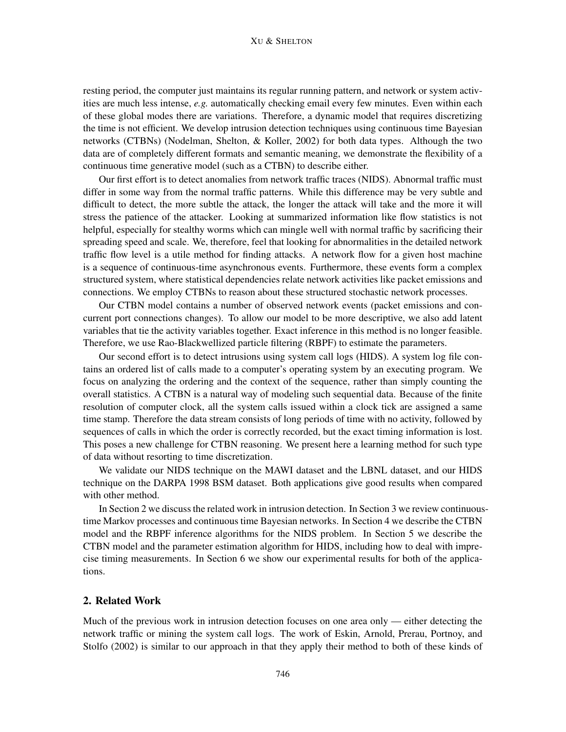#### XU & SHELTON

resting period, the computer just maintains its regular running pattern, and network or system activities are much less intense, *e.g.* automatically checking email every few minutes. Even within each of these global modes there are variations. Therefore, a dynamic model that requires discretizing the time is not efficient. We develop intrusion detection techniques using continuous time Bayesian networks (CTBNs) (Nodelman, Shelton, & Koller, 2002) for both data types. Although the two data are of completely different formats and semantic meaning, we demonstrate the flexibility of a continuous time generative model (such as a CTBN) to describe either.

Our first effort is to detect anomalies from network traffic traces (NIDS). Abnormal traffic must differ in some way from the normal traffic patterns. While this difference may be very subtle and difficult to detect, the more subtle the attack, the longer the attack will take and the more it will stress the patience of the attacker. Looking at summarized information like flow statistics is not helpful, especially for stealthy worms which can mingle well with normal traffic by sacrificing their spreading speed and scale. We, therefore, feel that looking for abnormalities in the detailed network traffic flow level is a utile method for finding attacks. A network flow for a given host machine is a sequence of continuous-time asynchronous events. Furthermore, these events form a complex structured system, where statistical dependencies relate network activities like packet emissions and connections. We employ CTBNs to reason about these structured stochastic network processes.

Our CTBN model contains a number of observed network events (packet emissions and concurrent port connections changes). To allow our model to be more descriptive, we also add latent variables that tie the activity variables together. Exact inference in this method is no longer feasible. Therefore, we use Rao-Blackwellized particle filtering (RBPF) to estimate the parameters.

Our second effort is to detect intrusions using system call logs (HIDS). A system log file contains an ordered list of calls made to a computer's operating system by an executing program. We focus on analyzing the ordering and the context of the sequence, rather than simply counting the overall statistics. A CTBN is a natural way of modeling such sequential data. Because of the finite resolution of computer clock, all the system calls issued within a clock tick are assigned a same time stamp. Therefore the data stream consists of long periods of time with no activity, followed by sequences of calls in which the order is correctly recorded, but the exact timing information is lost. This poses a new challenge for CTBN reasoning. We present here a learning method for such type of data without resorting to time discretization.

We validate our NIDS technique on the MAWI dataset and the LBNL dataset, and our HIDS technique on the DARPA 1998 BSM dataset. Both applications give good results when compared with other method.

In Section 2 we discuss the related work in intrusion detection. In Section 3 we review continuoustime Markov processes and continuous time Bayesian networks. In Section 4 we describe the CTBN model and the RBPF inference algorithms for the NIDS problem. In Section 5 we describe the CTBN model and the parameter estimation algorithm for HIDS, including how to deal with imprecise timing measurements. In Section 6 we show our experimental results for both of the applications.

## 2. Related Work

Much of the previous work in intrusion detection focuses on one area only — either detecting the network traffic or mining the system call logs. The work of Eskin, Arnold, Prerau, Portnoy, and Stolfo (2002) is similar to our approach in that they apply their method to both of these kinds of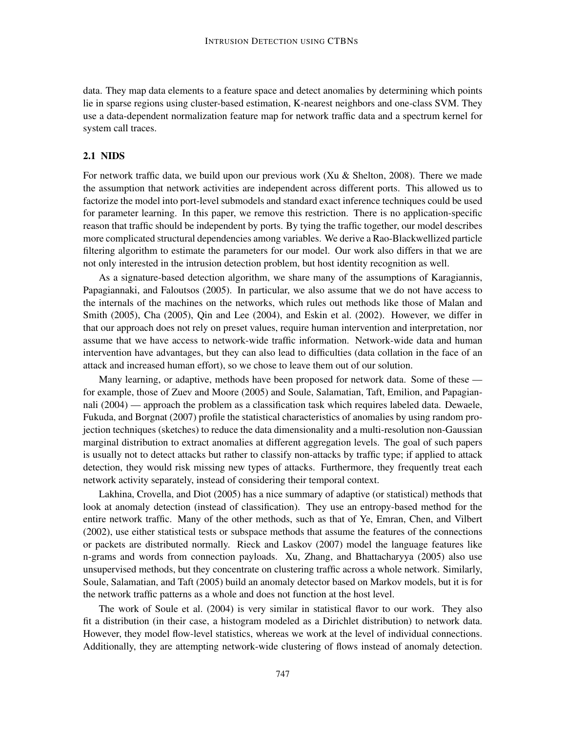data. They map data elements to a feature space and detect anomalies by determining which points lie in sparse regions using cluster-based estimation, K-nearest neighbors and one-class SVM. They use a data-dependent normalization feature map for network traffic data and a spectrum kernel for system call traces.

#### 2.1 NIDS

For network traffic data, we build upon our previous work (Xu & Shelton, 2008). There we made the assumption that network activities are independent across different ports. This allowed us to factorize the model into port-level submodels and standard exact inference techniques could be used for parameter learning. In this paper, we remove this restriction. There is no application-specific reason that traffic should be independent by ports. By tying the traffic together, our model describes more complicated structural dependencies among variables. We derive a Rao-Blackwellized particle filtering algorithm to estimate the parameters for our model. Our work also differs in that we are not only interested in the intrusion detection problem, but host identity recognition as well.

As a signature-based detection algorithm, we share many of the assumptions of Karagiannis, Papagiannaki, and Faloutsos (2005). In particular, we also assume that we do not have access to the internals of the machines on the networks, which rules out methods like those of Malan and Smith (2005), Cha (2005), Qin and Lee (2004), and Eskin et al. (2002). However, we differ in that our approach does not rely on preset values, require human intervention and interpretation, nor assume that we have access to network-wide traffic information. Network-wide data and human intervention have advantages, but they can also lead to difficulties (data collation in the face of an attack and increased human effort), so we chose to leave them out of our solution.

Many learning, or adaptive, methods have been proposed for network data. Some of these for example, those of Zuev and Moore (2005) and Soule, Salamatian, Taft, Emilion, and Papagiannali (2004) — approach the problem as a classification task which requires labeled data. Dewaele, Fukuda, and Borgnat (2007) profile the statistical characteristics of anomalies by using random projection techniques (sketches) to reduce the data dimensionality and a multi-resolution non-Gaussian marginal distribution to extract anomalies at different aggregation levels. The goal of such papers is usually not to detect attacks but rather to classify non-attacks by traffic type; if applied to attack detection, they would risk missing new types of attacks. Furthermore, they frequently treat each network activity separately, instead of considering their temporal context.

Lakhina, Crovella, and Diot (2005) has a nice summary of adaptive (or statistical) methods that look at anomaly detection (instead of classification). They use an entropy-based method for the entire network traffic. Many of the other methods, such as that of Ye, Emran, Chen, and Vilbert (2002), use either statistical tests or subspace methods that assume the features of the connections or packets are distributed normally. Rieck and Laskov (2007) model the language features like n-grams and words from connection payloads. Xu, Zhang, and Bhattacharyya (2005) also use unsupervised methods, but they concentrate on clustering traffic across a whole network. Similarly, Soule, Salamatian, and Taft (2005) build an anomaly detector based on Markov models, but it is for the network traffic patterns as a whole and does not function at the host level.

The work of Soule et al. (2004) is very similar in statistical flavor to our work. They also fit a distribution (in their case, a histogram modeled as a Dirichlet distribution) to network data. However, they model flow-level statistics, whereas we work at the level of individual connections. Additionally, they are attempting network-wide clustering of flows instead of anomaly detection.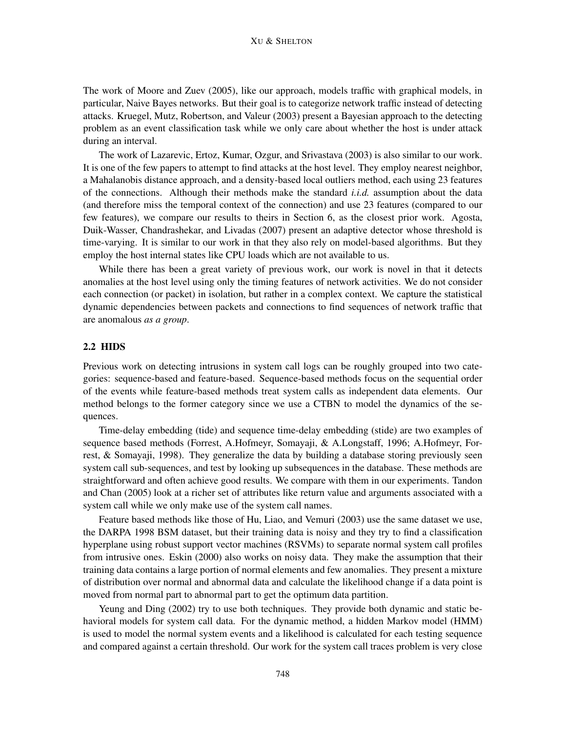The work of Moore and Zuev (2005), like our approach, models traffic with graphical models, in particular, Naive Bayes networks. But their goal is to categorize network traffic instead of detecting attacks. Kruegel, Mutz, Robertson, and Valeur (2003) present a Bayesian approach to the detecting problem as an event classification task while we only care about whether the host is under attack during an interval.

The work of Lazarevic, Ertoz, Kumar, Ozgur, and Srivastava (2003) is also similar to our work. It is one of the few papers to attempt to find attacks at the host level. They employ nearest neighbor, a Mahalanobis distance approach, and a density-based local outliers method, each using 23 features of the connections. Although their methods make the standard *i.i.d.* assumption about the data (and therefore miss the temporal context of the connection) and use 23 features (compared to our few features), we compare our results to theirs in Section 6, as the closest prior work. Agosta, Duik-Wasser, Chandrashekar, and Livadas (2007) present an adaptive detector whose threshold is time-varying. It is similar to our work in that they also rely on model-based algorithms. But they employ the host internal states like CPU loads which are not available to us.

While there has been a great variety of previous work, our work is novel in that it detects anomalies at the host level using only the timing features of network activities. We do not consider each connection (or packet) in isolation, but rather in a complex context. We capture the statistical dynamic dependencies between packets and connections to find sequences of network traffic that are anomalous *as a group*.

## 2.2 HIDS

Previous work on detecting intrusions in system call logs can be roughly grouped into two categories: sequence-based and feature-based. Sequence-based methods focus on the sequential order of the events while feature-based methods treat system calls as independent data elements. Our method belongs to the former category since we use a CTBN to model the dynamics of the sequences.

Time-delay embedding (tide) and sequence time-delay embedding (stide) are two examples of sequence based methods (Forrest, A.Hofmeyr, Somayaji, & A.Longstaff, 1996; A.Hofmeyr, Forrest, & Somayaji, 1998). They generalize the data by building a database storing previously seen system call sub-sequences, and test by looking up subsequences in the database. These methods are straightforward and often achieve good results. We compare with them in our experiments. Tandon and Chan (2005) look at a richer set of attributes like return value and arguments associated with a system call while we only make use of the system call names.

Feature based methods like those of Hu, Liao, and Vemuri (2003) use the same dataset we use, the DARPA 1998 BSM dataset, but their training data is noisy and they try to find a classification hyperplane using robust support vector machines (RSVMs) to separate normal system call profiles from intrusive ones. Eskin (2000) also works on noisy data. They make the assumption that their training data contains a large portion of normal elements and few anomalies. They present a mixture of distribution over normal and abnormal data and calculate the likelihood change if a data point is moved from normal part to abnormal part to get the optimum data partition.

Yeung and Ding (2002) try to use both techniques. They provide both dynamic and static behavioral models for system call data. For the dynamic method, a hidden Markov model (HMM) is used to model the normal system events and a likelihood is calculated for each testing sequence and compared against a certain threshold. Our work for the system call traces problem is very close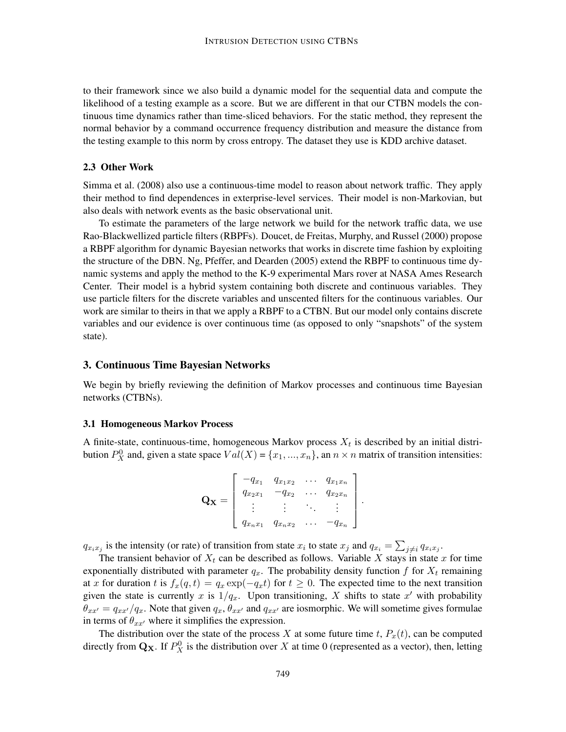to their framework since we also build a dynamic model for the sequential data and compute the likelihood of a testing example as a score. But we are different in that our CTBN models the continuous time dynamics rather than time-sliced behaviors. For the static method, they represent the normal behavior by a command occurrence frequency distribution and measure the distance from the testing example to this norm by cross entropy. The dataset they use is KDD archive dataset.

## 2.3 Other Work

Simma et al. (2008) also use a continuous-time model to reason about network traffic. They apply their method to find dependences in exterprise-level services. Their model is non-Markovian, but also deals with network events as the basic observational unit.

To estimate the parameters of the large network we build for the network traffic data, we use Rao-Blackwellized particle filters (RBPFs). Doucet, de Freitas, Murphy, and Russel (2000) propose a RBPF algorithm for dynamic Bayesian networks that works in discrete time fashion by exploiting the structure of the DBN. Ng, Pfeffer, and Dearden (2005) extend the RBPF to continuous time dynamic systems and apply the method to the K-9 experimental Mars rover at NASA Ames Research Center. Their model is a hybrid system containing both discrete and continuous variables. They use particle filters for the discrete variables and unscented filters for the continuous variables. Our work are similar to theirs in that we apply a RBPF to a CTBN. But our model only contains discrete variables and our evidence is over continuous time (as opposed to only "snapshots" of the system state).

### 3. Continuous Time Bayesian Networks

We begin by briefly reviewing the definition of Markov processes and continuous time Bayesian networks (CTBNs).

#### 3.1 Homogeneous Markov Process

A finite-state, continuous-time, homogeneous Markov process  $X_t$  is described by an initial distribution  $P_X^0$  and, given a state space  $Val(X) = \{x_1, ..., x_n\}$ , an  $n \times n$  matrix of transition intensities:

$$
\mathbf{Q_X} = \left[ \begin{array}{cccc} -q_{x_1} & q_{x_1x_2} & \dots & q_{x_1x_n} \\ q_{x_2x_1} & -q_{x_2} & \dots & q_{x_2x_n} \\ \vdots & \vdots & \ddots & \vdots \\ q_{x_nx_1} & q_{x_nx_2} & \dots & -q_{x_n} \end{array} \right]
$$

.

 $q_{x_ix_j}$  is the intensity (or rate) of transition from state  $x_i$  to state  $x_j$  and  $q_{x_i} = \sum_{j \neq i} q_{x_ix_j}$ .

The transient behavior of  $X_t$  can be described as follows. Variable X stays in state x for time exponentially distributed with parameter  $q_x$ . The probability density function f for  $X_t$  remaining at x for duration t is  $f_x(q, t) = q_x \exp(-q_x t)$  for  $t \ge 0$ . The expected time to the next transition given the state is currently x is  $1/q_x$ . Upon transitioning, X shifts to state x' with probability  $\theta_{xx'} = q_{xx'}/q_x$ . Note that given  $q_x, \theta_{xx'}$  and  $q_{xx'}$  are iosmorphic. We will sometime gives formulae in terms of  $\theta_{xx}$  where it simplifies the expression.

The distribution over the state of the process X at some future time t,  $P_x(t)$ , can be computed directly from  $\mathbf{Q}_\mathbf{X}$ . If  $P_X^0$  is the distribution over X at time 0 (represented as a vector), then, letting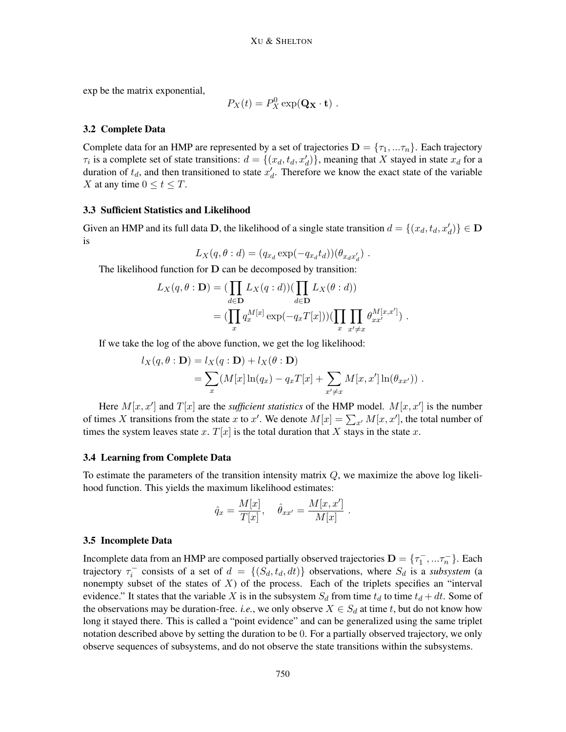exp be the matrix exponential,

$$
P_X(t) = P_X^0 \exp(\mathbf{Q_X} \cdot \mathbf{t}) \ .
$$

#### 3.2 Complete Data

Complete data for an HMP are represented by a set of trajectories  $\mathbf{D} = \{\tau_1, ...\tau_n\}$ . Each trajectory  $\tau_i$  is a complete set of state transitions:  $d = \{(x_d, t_d, x'_d)\}\$ , meaning that X stayed in state  $x_d$  for a duration of  $t_d$ , and then transitioned to state  $x'_d$ . Therefore we know the exact state of the variable X at any time  $0 \le t \le T$ .

### 3.3 Sufficient Statistics and Likelihood

Given an HMP and its full data D, the likelihood of a single state transition  $d = \{(x_d, t_d, x'_d)\} \in \mathbf{D}$ is

$$
L_X(q, \theta : d) = (q_{x_d} \exp(-q_{x_d} t_d))(\theta_{x_d x'_d}) .
$$

The likelihood function for D can be decomposed by transition:

$$
L_X(q, \theta : \mathbf{D}) = (\prod_{d \in \mathbf{D}} L_X(q : d)) (\prod_{d \in \mathbf{D}} L_X(\theta : d))
$$
  
= (\prod\_x q\_x^{M[x]} \exp(-q\_x T[x])) (\prod\_x \prod\_{x' \neq x} \theta\_{xx'}^{M[x,x']}) .

If we take the log of the above function, we get the log likelihood:

$$
l_X(q, \theta : \mathbf{D}) = l_X(q : \mathbf{D}) + l_X(\theta : \mathbf{D})
$$
  
= 
$$
\sum_x (M[x] \ln(q_x) - q_x T[x] + \sum_{x' \neq x} M[x, x'] \ln(\theta_{xx'})) .
$$

Here  $M[x, x']$  and  $T[x]$  are the *sufficient statistics* of the HMP model.  $M[x, x']$  is the number of times X transitions from the state x to x'. We denote  $M[x] = \sum_{x} M[x, x']$ , the total number of times the system leaves state x.  $T[x]$  is the total duration that X stays in the state x.

### 3.4 Learning from Complete Data

To estimate the parameters of the transition intensity matrix  $Q$ , we maximize the above log likelihood function. This yields the maximum likelihood estimates:

$$
\hat{q}_x = \frac{M[x]}{T[x]}, \quad \hat{\theta}_{xx'} = \frac{M[x, x']}{M[x]}
$$

.

#### 3.5 Incomplete Data

Incomplete data from an HMP are composed partially observed trajectories  $\mathbf{D} = \{\tau_1^-,...\tau_n^-\}$ . Each trajectory  $\tau_i^-$  consists of a set of  $d = \{(S_d, t_d, dt)\}\$  observations, where  $S_d$  is a *subsystem* (a nonempty subset of the states of  $X$ ) of the process. Each of the triplets specifies an "interval evidence." It states that the variable X is in the subsystem  $S_d$  from time  $t_d$  to time  $t_d + dt$ . Some of the observations may be duration-free. *i.e.*, we only observe  $X \in S_d$  at time t, but do not know how long it stayed there. This is called a "point evidence" and can be generalized using the same triplet notation described above by setting the duration to be 0. For a partially observed trajectory, we only observe sequences of subsystems, and do not observe the state transitions within the subsystems.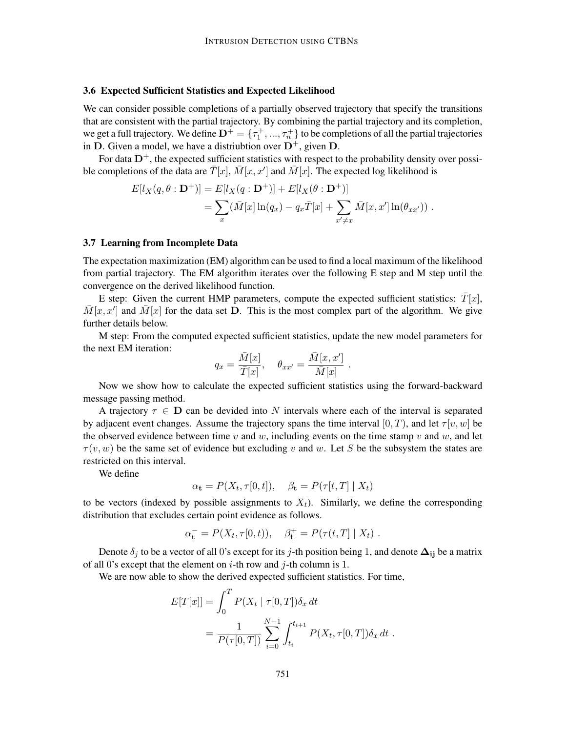### 3.6 Expected Sufficient Statistics and Expected Likelihood

We can consider possible completions of a partially observed trajectory that specify the transitions that are consistent with the partial trajectory. By combining the partial trajectory and its completion, we get a full trajectory. We define  $\mathbf{D}^+=\{\tau^+_1,...,\tau^+_n\}$  to be completions of all the partial trajectories in D. Given a model, we have a distriubtion over  $D^+$ , given D.

For data  $D^+$ , the expected sufficient statistics with respect to the probability density over possible completions of the data are  $\bar{T}[x]$ ,  $\bar{M}[x, x']$  and  $\bar{M}[x]$ . The expected log likelihood is

$$
E[l_X(q, \theta : \mathbf{D}^+)] = E[l_X(q : \mathbf{D}^+)] + E[l_X(\theta : \mathbf{D}^+)]
$$
  
= 
$$
\sum_x (\bar{M}[x] \ln(q_x) - q_x \bar{T}[x] + \sum_{x' \neq x} \bar{M}[x, x'] \ln(\theta_{xx'})) .
$$

### 3.7 Learning from Incomplete Data

The expectation maximization (EM) algorithm can be used to find a local maximum of the likelihood from partial trajectory. The EM algorithm iterates over the following E step and M step until the convergence on the derived likelihood function.

E step: Given the current HMP parameters, compute the expected sufficient statistics:  $\overline{T}[x]$ ,  $\overline{M}[x, x']$  and  $\overline{M}[x]$  for the data set **D**. This is the most complex part of the algorithm. We give further details below.

M step: From the computed expected sufficient statistics, update the new model parameters for the next EM iteration:

$$
q_x = \frac{\bar{M}[x]}{\bar{T}[x]}, \quad \theta_{xx'} = \frac{\bar{M}[x, x']}{\bar{M}[x]}
$$

.

Now we show how to calculate the expected sufficient statistics using the forward-backward message passing method.

A trajectory  $\tau \in D$  can be devided into N intervals where each of the interval is separated by adjacent event changes. Assume the trajectory spans the time interval  $[0, T)$ , and let  $\tau[v, w]$  be the observed evidence between time v and w, including events on the time stamp v and w, and let  $\tau(v, w)$  be the same set of evidence but excluding v and w. Let S be the subsystem the states are restricted on this interval.

We define

$$
\alpha_{\mathbf{t}} = P(X_t, \tau[0, t]), \quad \beta_{\mathbf{t}} = P(\tau[t, T] \mid X_t)
$$

to be vectors (indexed by possible assignments to  $X_t$ ). Similarly, we define the corresponding distribution that excludes certain point evidence as follows.

$$
\alpha_{\mathbf{t}}^{-} = P(X_t, \tau[0, t)), \quad \beta_{\mathbf{t}}^{+} = P(\tau(t, T | X_t) .
$$

Denote  $\delta_j$  to be a vector of all 0's except for its j-th position being 1, and denote  $\Delta_{ij}$  be a matrix of all 0's except that the element on  $i$ -th row and  $j$ -th column is 1.

We are now able to show the derived expected sufficient statistics. For time,

$$
E[T[x]] = \int_0^T P(X_t | \tau[0,T]) \delta_x dt
$$
  
= 
$$
\frac{1}{P(\tau[0,T])} \sum_{i=0}^{N-1} \int_{t_i}^{t_{i+1}} P(X_t, \tau[0,T]) \delta_x dt.
$$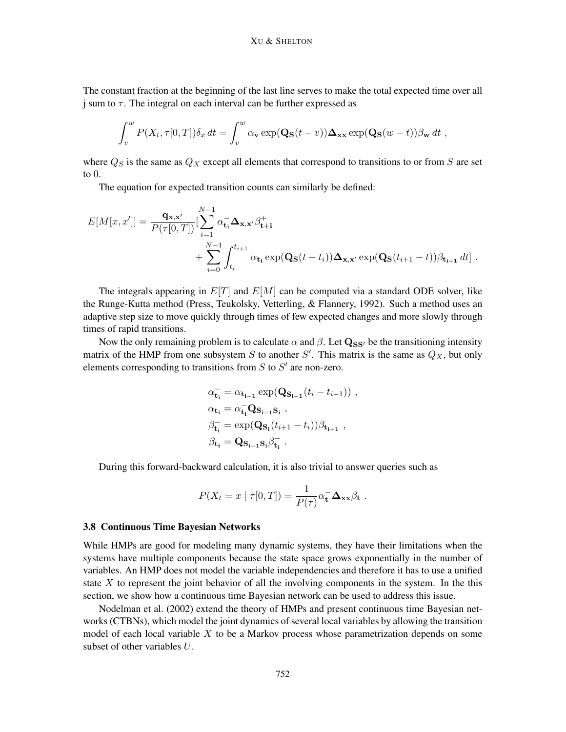The constant fraction at the beginning of the last line serves to make the total expected time over all j sum to  $\tau$ . The integral on each interval can be further expressed as

$$
\int_v^w P(X_t, \tau[0,T]) \delta_x dt = \int_v^w \alpha_v \exp(\mathbf{Q}_\mathbf{S}(t-v)) \Delta_{\mathbf{xx}} \exp(\mathbf{Q}_\mathbf{S}(w-t)) \beta_{\mathbf{w}} dt,
$$

where  $Q_S$  is the same as  $Q_X$  except all elements that correspond to transitions to or from S are set to 0.

The equation for expected transition counts can similarly be defined:

$$
E[M[x, x']]=\frac{\mathbf{q}_{\mathbf{x},\mathbf{x}'}}{P(\tau[0,T])}\left[\sum_{i=1}^{N-1} \alpha_{\mathbf{t}_i}^{-} \mathbf{\Delta}_{\mathbf{x},\mathbf{x}'} \beta_{\mathbf{t}+\mathbf{i}}^{+} + \sum_{i=0}^{N-1} \int_{t_i}^{t_{i+1}} \alpha_{\mathbf{t}_i} \exp(\mathbf{Q}_{\mathbf{S}}(t-t_i)) \mathbf{\Delta}_{\mathbf{x},\mathbf{x}'} \exp(\mathbf{Q}_{\mathbf{S}}(t_{i+1}-t)) \beta_{\mathbf{t}_{i+1}} dt\right].
$$

The integrals appearing in  $E[T]$  and  $E[M]$  can be computed via a standard ODE solver, like the Runge-Kutta method (Press, Teukolsky, Vetterling, & Flannery, 1992). Such a method uses an adaptive step size to move quickly through times of few expected changes and more slowly through times of rapid transitions.

Now the only remaining problem is to calculate  $\alpha$  and  $\beta$ . Let  $\mathbf{Q}_{SS'}$  be the transitioning intensity matrix of the HMP from one subsystem S to another S'. This matrix is the same as  $Q_X$ , but only elements corresponding to transitions from  $S$  to  $S'$  are non-zero.

$$
\alpha_{\mathbf{t_i}}^{\mathbf{-}} = \alpha_{\mathbf{t_{i-1}}} \exp(\mathbf{Q_{S_{i-1}}}(t_i - t_{i-1})) ,
$$
\n
$$
\alpha_{\mathbf{t_i}} = \alpha_{\mathbf{t_i}}^{\mathbf{-}} \mathbf{Q_{S_{i-1}S_i}} ,
$$
\n
$$
\beta_{\mathbf{t_i}}^{\mathbf{-}} = \exp(\mathbf{Q_{S_i}}(t_{i+1} - t_i)) \beta_{\mathbf{t_{i+1}}},
$$
\n
$$
\beta_{\mathbf{t_i}} = \mathbf{Q_{S_{i-1}S_i}} \beta_{\mathbf{t_i}}^{\mathbf{-}} .
$$

During this forward-backward calculation, it is also trivial to answer queries such as

$$
P(X_t = x \mid \tau[0,T]) = \frac{1}{P(\tau)} \alpha_t^- \Delta_{xx} \beta_t.
$$

#### 3.8 Continuous Time Bayesian Networks

While HMPs are good for modeling many dynamic systems, they have their limitations when the systems have multiple components because the state space grows exponentially in the number of variables. An HMP does not model the variable independencies and therefore it has to use a unified state  $X$  to represent the joint behavior of all the involving components in the system. In the this section, we show how a continuous time Bayesian network can be used to address this issue.

Nodelman et al. (2002) extend the theory of HMPs and present continuous time Bayesian networks (CTBNs), which model the joint dynamics of several local variables by allowing the transition model of each local variable  $X$  to be a Markov process whose parametrization depends on some subset of other variables U.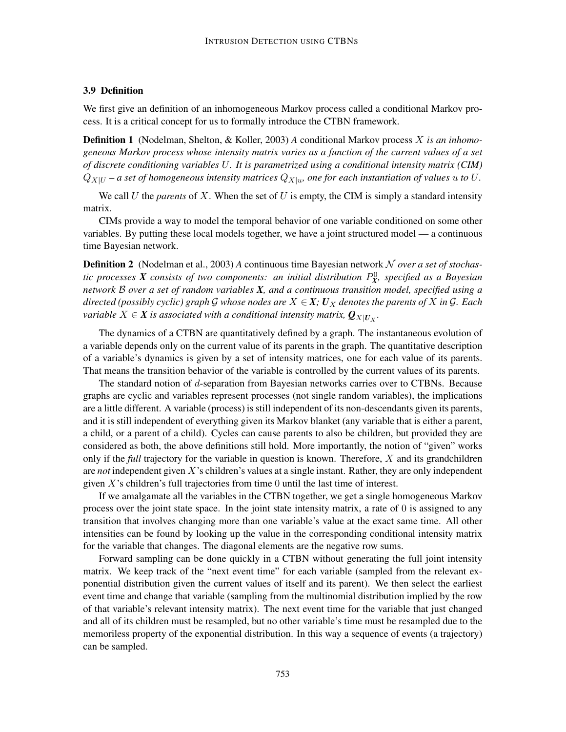### 3.9 Definition

We first give an definition of an inhomogeneous Markov process called a conditional Markov process. It is a critical concept for us to formally introduce the CTBN framework.

Definition 1 (Nodelman, Shelton, & Koller, 2003) *A* conditional Markov process X *is an inhomogeneous Markov process whose intensity matrix varies as a function of the current values of a set of discrete conditioning variables* U*. It is parametrized using a conditional intensity matrix (CIM)*  $Q_{X|U}$  – a set of homogeneous intensity matrices  $Q_{X|u}$ , one for each instantiation of values  $u$  to  $U$ .

We call U the *parents* of X. When the set of U is empty, the CIM is simply a standard intensity matrix.

CIMs provide a way to model the temporal behavior of one variable conditioned on some other variables. By putting these local models together, we have a joint structured model — a continuous time Bayesian network.

Definition 2 (Nodelman et al., 2003) *A* continuous time Bayesian network N *over a set of stochas*tic processes  $X$  consists of two components: an initial distribution  $P_X^0$ , specified as a Bayesian *network* B *over a set of random variables X, and a continuous transition model, specified using a directed (possibly cyclic) graph* G *whose nodes are*  $X \in \mathbf{X}$ *;*  $U_X$  *denotes the parents of* X *in* G. Each *variable*  $X \in \pmb{X}$  *is associated with a conditional intensity matrix,*  $\pmb{\mathcal{Q}}_{X|\pmb{U}_X}.$ 

The dynamics of a CTBN are quantitatively defined by a graph. The instantaneous evolution of a variable depends only on the current value of its parents in the graph. The quantitative description of a variable's dynamics is given by a set of intensity matrices, one for each value of its parents. That means the transition behavior of the variable is controlled by the current values of its parents.

The standard notion of d-separation from Bayesian networks carries over to CTBNs. Because graphs are cyclic and variables represent processes (not single random variables), the implications are a little different. A variable (process) is still independent of its non-descendants given its parents, and it is still independent of everything given its Markov blanket (any variable that is either a parent, a child, or a parent of a child). Cycles can cause parents to also be children, but provided they are considered as both, the above definitions still hold. More importantly, the notion of "given" works only if the *full* trajectory for the variable in question is known. Therefore, X and its grandchildren are *not* independent given X's children's values at a single instant. Rather, they are only independent given  $X$ 's children's full trajectories from time  $0$  until the last time of interest.

If we amalgamate all the variables in the CTBN together, we get a single homogeneous Markov process over the joint state space. In the joint state intensity matrix, a rate of 0 is assigned to any transition that involves changing more than one variable's value at the exact same time. All other intensities can be found by looking up the value in the corresponding conditional intensity matrix for the variable that changes. The diagonal elements are the negative row sums.

Forward sampling can be done quickly in a CTBN without generating the full joint intensity matrix. We keep track of the "next event time" for each variable (sampled from the relevant exponential distribution given the current values of itself and its parent). We then select the earliest event time and change that variable (sampling from the multinomial distribution implied by the row of that variable's relevant intensity matrix). The next event time for the variable that just changed and all of its children must be resampled, but no other variable's time must be resampled due to the memoriless property of the exponential distribution. In this way a sequence of events (a trajectory) can be sampled.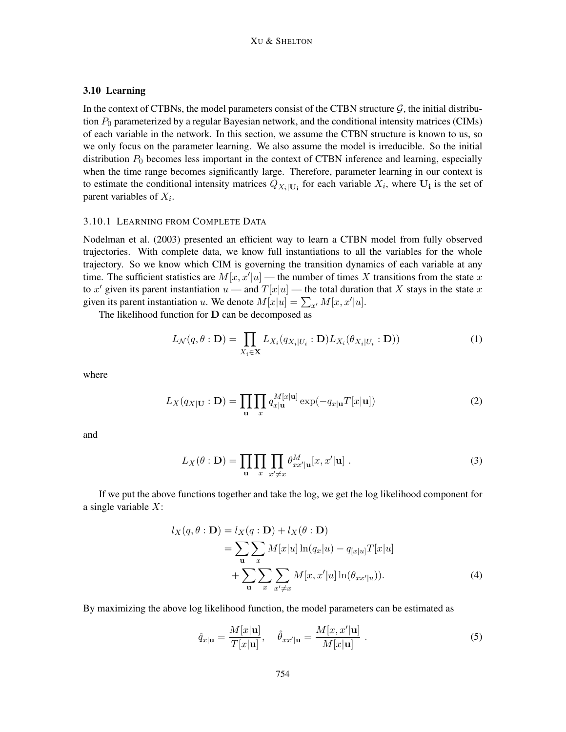## 3.10 Learning

In the context of CTBNs, the model parameters consist of the CTBN structure  $\mathcal{G}$ , the initial distribution  $P_0$  parameterized by a regular Bayesian network, and the conditional intensity matrices (CIMs) of each variable in the network. In this section, we assume the CTBN structure is known to us, so we only focus on the parameter learning. We also assume the model is irreducible. So the initial distribution  $P_0$  becomes less important in the context of CTBN inference and learning, especially when the time range becomes significantly large. Therefore, parameter learning in our context is to estimate the conditional intensity matrices  $Q_{X_i|U_i}$  for each variable  $X_i$ , where  $U_i$  is the set of parent variables of  $X_i$ .

#### 3.10.1 LEARNING FROM COMPLETE DATA

Nodelman et al. (2003) presented an efficient way to learn a CTBN model from fully observed trajectories. With complete data, we know full instantiations to all the variables for the whole trajectory. So we know which CIM is governing the transition dynamics of each variable at any time. The sufficient statistics are  $M[x, x'|u]$  — the number of times X transitions from the state x to x' given its parent instantiation  $u$  — and  $T[x|u]$  — the total duration that X stays in the state x given its parent instantiation u. We denote  $M[x|u] = \sum_{x'} M[x, x'|u]$ .

The likelihood function for D can be decomposed as

$$
L_{\mathcal{N}}(q, \theta : \mathbf{D}) = \prod_{X_i \in \mathbf{X}} L_{X_i}(q_{X_i|U_i} : \mathbf{D}) L_{X_i}(\theta_{X_i|U_i} : \mathbf{D}))
$$
(1)

where

$$
L_X(q_{X|\mathbf{U}} : \mathbf{D}) = \prod_{\mathbf{u}} \prod_x q_{x|\mathbf{u}}^{M[x|\mathbf{u}]} \exp(-q_{x|\mathbf{u}} T[x|\mathbf{u}])
$$
(2)

and

$$
L_X(\theta : \mathbf{D}) = \prod_{\mathbf{u}} \prod_{x} \prod_{x' \neq x} \theta_{xx'|u}^M[x, x'| \mathbf{u}]. \tag{3}
$$

If we put the above functions together and take the log, we get the log likelihood component for a single variable  $X$ :

$$
l_X(q, \theta : \mathbf{D}) = l_X(q : \mathbf{D}) + l_X(\theta : \mathbf{D})
$$
  
= 
$$
\sum_{\mathbf{u}} \sum_{x} M[x|u] \ln(q_x|u) - q_{[x|u]}T[x|u]
$$
  
+ 
$$
\sum_{\mathbf{u}} \sum_{x} \sum_{x' \neq x} M[x, x'|u] \ln(\theta_{xx'|u})).
$$
 (4)

By maximizing the above log likelihood function, the model parameters can be estimated as

$$
\hat{q}_{x|\mathbf{u}} = \frac{M[x|\mathbf{u}]}{T[x|\mathbf{u}]}, \quad \hat{\theta}_{xx'|\mathbf{u}} = \frac{M[x, x'|\mathbf{u}]}{M[x|\mathbf{u}]}.
$$
\n(5)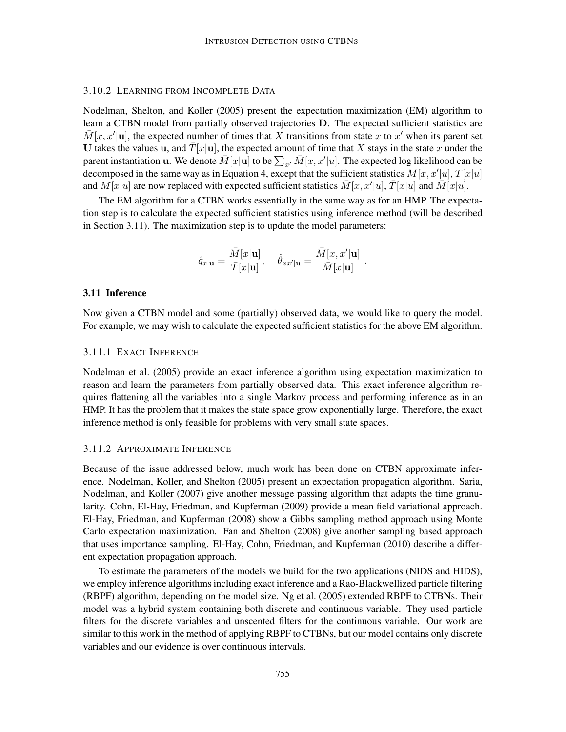### 3.10.2 LEARNING FROM INCOMPLETE DATA

Nodelman, Shelton, and Koller (2005) present the expectation maximization (EM) algorithm to learn a CTBN model from partially observed trajectories D. The expected sufficient statistics are  $\overline{M}[x, x']$ u], the expected number of times that X transitions from state x to x' when its parent set U takes the values u, and  $\overline{T}[x]$ u, the expected amount of time that X stays in the state x under the parent instantiation **u**. We denote  $\bar{M}[x]$  to be  $\sum_{x'} \bar{M}[x, x'|u]$ . The expected log likelihood can be decomposed in the same way as in Equation 4, except that the sufficient statistics  $M[x, x'|u]$ ,  $T[x|u]$ and  $M[x|u]$  are now replaced with expected sufficient statistics  $\bar{M}[x, x'|u]$ ,  $\bar{T}[x|u]$  and  $\bar{M}[x|u]$ .

The EM algorithm for a CTBN works essentially in the same way as for an HMP. The expectation step is to calculate the expected sufficient statistics using inference method (will be described in Section 3.11). The maximization step is to update the model parameters:

$$
\hat{q}_{x|\mathbf{u}} = \frac{\bar{M}[x|\mathbf{u}]}{\bar{T}[x|\mathbf{u}]}, \quad \hat{\theta}_{xx'|\mathbf{u}} = \frac{\bar{M}[x, x'|\mathbf{u}]}{\bar{M}[x|\mathbf{u}]}.
$$

#### 3.11 Inference

Now given a CTBN model and some (partially) observed data, we would like to query the model. For example, we may wish to calculate the expected sufficient statistics for the above EM algorithm.

### 3.11.1 EXACT INFERENCE

Nodelman et al. (2005) provide an exact inference algorithm using expectation maximization to reason and learn the parameters from partially observed data. This exact inference algorithm requires flattening all the variables into a single Markov process and performing inference as in an HMP. It has the problem that it makes the state space grow exponentially large. Therefore, the exact inference method is only feasible for problems with very small state spaces.

#### 3.11.2 APPROXIMATE INFERENCE

Because of the issue addressed below, much work has been done on CTBN approximate inference. Nodelman, Koller, and Shelton (2005) present an expectation propagation algorithm. Saria, Nodelman, and Koller (2007) give another message passing algorithm that adapts the time granularity. Cohn, El-Hay, Friedman, and Kupferman (2009) provide a mean field variational approach. El-Hay, Friedman, and Kupferman (2008) show a Gibbs sampling method approach using Monte Carlo expectation maximization. Fan and Shelton (2008) give another sampling based approach that uses importance sampling. El-Hay, Cohn, Friedman, and Kupferman (2010) describe a different expectation propagation approach.

To estimate the parameters of the models we build for the two applications (NIDS and HIDS), we employ inference algorithms including exact inference and a Rao-Blackwellized particle filtering (RBPF) algorithm, depending on the model size. Ng et al. (2005) extended RBPF to CTBNs. Their model was a hybrid system containing both discrete and continuous variable. They used particle filters for the discrete variables and unscented filters for the continuous variable. Our work are similar to this work in the method of applying RBPF to CTBNs, but our model contains only discrete variables and our evidence is over continuous intervals.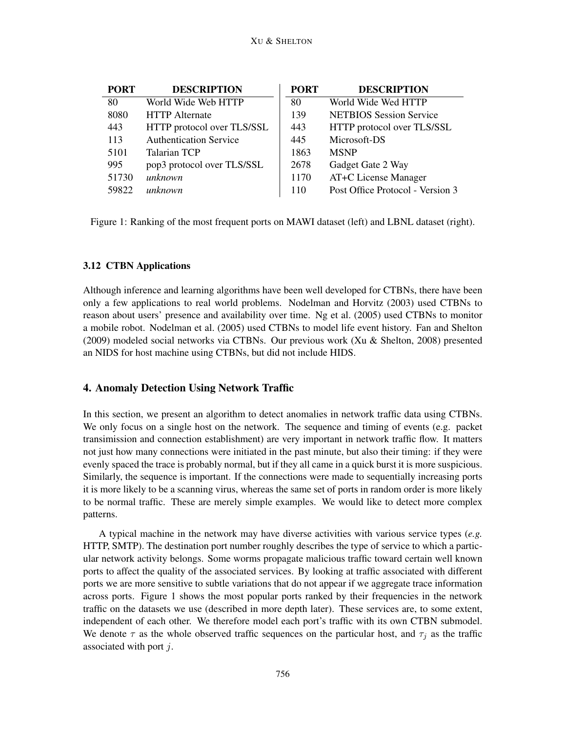| <b>PORT</b> | <b>DESCRIPTION</b>            | <b>PORT</b> | <b>DESCRIPTION</b>               |
|-------------|-------------------------------|-------------|----------------------------------|
| 80          | World Wide Web HTTP           | 80          | World Wide Wed HTTP              |
| 8080        | <b>HTTP</b> Alternate         | 139         | <b>NETBIOS</b> Session Service   |
| 443         | HTTP protocol over TLS/SSL    | 443         | HTTP protocol over TLS/SSL       |
| 113         | <b>Authentication Service</b> | 445         | Microsoft-DS                     |
| 5101        | <b>Talarian TCP</b>           | 1863        | <b>MSNP</b>                      |
| 995         | pop3 protocol over TLS/SSL    | 2678        | Gadget Gate 2 Way                |
| 51730       | unknown                       | 1170        | AT+C License Manager             |
| 59822       | unknown                       | 110         | Post Office Protocol - Version 3 |

Figure 1: Ranking of the most frequent ports on MAWI dataset (left) and LBNL dataset (right).

## 3.12 CTBN Applications

Although inference and learning algorithms have been well developed for CTBNs, there have been only a few applications to real world problems. Nodelman and Horvitz (2003) used CTBNs to reason about users' presence and availability over time. Ng et al. (2005) used CTBNs to monitor a mobile robot. Nodelman et al. (2005) used CTBNs to model life event history. Fan and Shelton (2009) modeled social networks via CTBNs. Our previous work (Xu & Shelton, 2008) presented an NIDS for host machine using CTBNs, but did not include HIDS.

## 4. Anomaly Detection Using Network Traffic

In this section, we present an algorithm to detect anomalies in network traffic data using CTBNs. We only focus on a single host on the network. The sequence and timing of events (e.g. packet transimission and connection establishment) are very important in network traffic flow. It matters not just how many connections were initiated in the past minute, but also their timing: if they were evenly spaced the trace is probably normal, but if they all came in a quick burst it is more suspicious. Similarly, the sequence is important. If the connections were made to sequentially increasing ports it is more likely to be a scanning virus, whereas the same set of ports in random order is more likely to be normal traffic. These are merely simple examples. We would like to detect more complex patterns.

A typical machine in the network may have diverse activities with various service types (*e.g.* HTTP, SMTP). The destination port number roughly describes the type of service to which a particular network activity belongs. Some worms propagate malicious traffic toward certain well known ports to affect the quality of the associated services. By looking at traffic associated with different ports we are more sensitive to subtle variations that do not appear if we aggregate trace information across ports. Figure 1 shows the most popular ports ranked by their frequencies in the network traffic on the datasets we use (described in more depth later). These services are, to some extent, independent of each other. We therefore model each port's traffic with its own CTBN submodel. We denote  $\tau$  as the whole observed traffic sequences on the particular host, and  $\tau_j$  as the traffic associated with port  $j$ .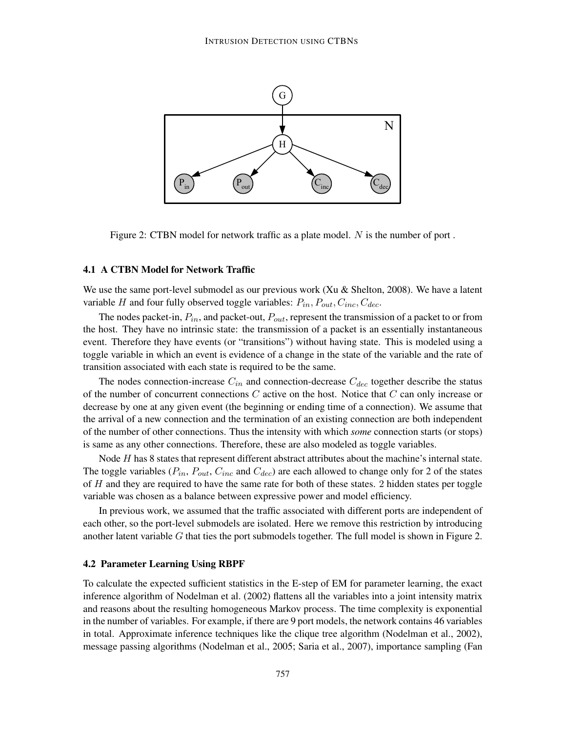

Figure 2: CTBN model for network traffic as a plate model. N is the number of port.

### 4.1 A CTBN Model for Network Traffic

We use the same port-level submodel as our previous work  $(Xu \& S$ helton, 2008). We have a latent variable H and four fully observed toggle variables:  $P_{in}$ ,  $P_{out}$ ,  $C_{inc}$ ,  $C_{dec}$ .

The nodes packet-in,  $P_{in}$ , and packet-out,  $P_{out}$ , represent the transmission of a packet to or from the host. They have no intrinsic state: the transmission of a packet is an essentially instantaneous event. Therefore they have events (or "transitions") without having state. This is modeled using a toggle variable in which an event is evidence of a change in the state of the variable and the rate of transition associated with each state is required to be the same.

The nodes connection-increase  $C_{in}$  and connection-decrease  $C_{dec}$  together describe the status of the number of concurrent connections  $C$  active on the host. Notice that  $C$  can only increase or decrease by one at any given event (the beginning or ending time of a connection). We assume that the arrival of a new connection and the termination of an existing connection are both independent of the number of other connections. Thus the intensity with which *some* connection starts (or stops) is same as any other connections. Therefore, these are also modeled as toggle variables.

Node H has 8 states that represent different abstract attributes about the machine's internal state. The toggle variables ( $P_{in}$ ,  $P_{out}$ ,  $C_{inc}$  and  $C_{dec}$ ) are each allowed to change only for 2 of the states of H and they are required to have the same rate for both of these states. 2 hidden states per toggle variable was chosen as a balance between expressive power and model efficiency.

In previous work, we assumed that the traffic associated with different ports are independent of each other, so the port-level submodels are isolated. Here we remove this restriction by introducing another latent variable G that ties the port submodels together. The full model is shown in Figure 2.

## 4.2 Parameter Learning Using RBPF

To calculate the expected sufficient statistics in the E-step of EM for parameter learning, the exact inference algorithm of Nodelman et al. (2002) flattens all the variables into a joint intensity matrix and reasons about the resulting homogeneous Markov process. The time complexity is exponential in the number of variables. For example, if there are 9 port models, the network contains 46 variables in total. Approximate inference techniques like the clique tree algorithm (Nodelman et al., 2002), message passing algorithms (Nodelman et al., 2005; Saria et al., 2007), importance sampling (Fan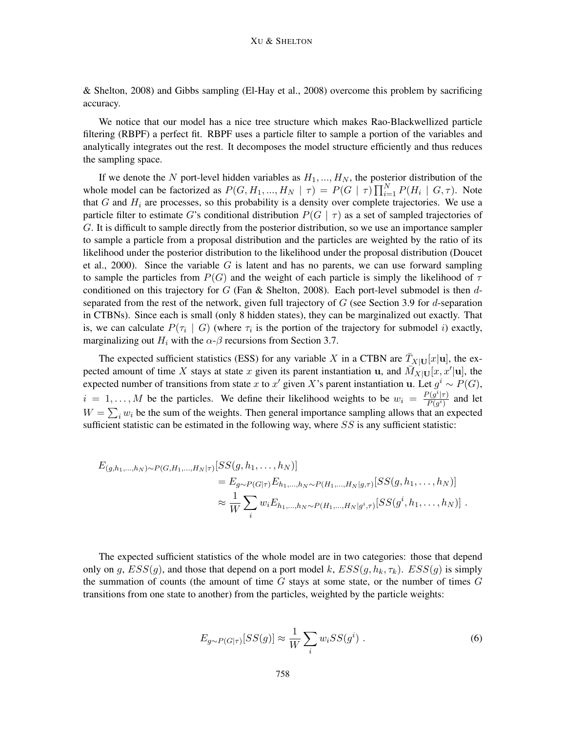& Shelton, 2008) and Gibbs sampling (El-Hay et al., 2008) overcome this problem by sacrificing accuracy.

We notice that our model has a nice tree structure which makes Rao-Blackwellized particle filtering (RBPF) a perfect fit. RBPF uses a particle filter to sample a portion of the variables and analytically integrates out the rest. It decomposes the model structure efficiently and thus reduces the sampling space.

If we denote the N port-level hidden variables as  $H_1, ..., H_N$ , the posterior distribution of the whole model can be factorized as  $P(G, H_1, ..., H_N | \tau) = P(G | \tau) \prod_{i=1}^N P(H_i | G, \tau)$ . Note that  $G$  and  $H_i$  are processes, so this probability is a density over complete trajectories. We use a particle filter to estimate G's conditional distribution  $P(G | \tau)$  as a set of sampled trajectories of G. It is difficult to sample directly from the posterior distribution, so we use an importance sampler to sample a particle from a proposal distribution and the particles are weighted by the ratio of its likelihood under the posterior distribution to the likelihood under the proposal distribution (Doucet et al., 2000). Since the variable G is latent and has no parents, we can use forward sampling to sample the particles from  $P(G)$  and the weight of each particle is simply the likelihood of  $\tau$ conditioned on this trajectory for  $G$  (Fan  $\&$  Shelton, 2008). Each port-level submodel is then dseparated from the rest of the network, given full trajectory of  $G$  (see Section 3.9 for d-separation in CTBNs). Since each is small (only 8 hidden states), they can be marginalized out exactly. That is, we can calculate  $P(\tau_i \mid G)$  (where  $\tau_i$  is the portion of the trajectory for submodel i) exactly, marginalizing out  $H_i$  with the  $\alpha$ - $\beta$  recursions from Section 3.7.

The expected sufficient statistics (ESS) for any variable X in a CTBN are  $\overline{T}_{X|U}[x]$ , the expected amount of time X stays at state x given its parent instantiation u, and  $\overline{M}_{X|U}[x, x'|u]$ , the expected number of transitions from state x to x' given X's parent instantiation u. Let  $g^i \sim P(G)$ ,  $i = 1, \ldots, M$  be the particles. We define their likelihood weights to be  $w_i = \frac{P(g^i|\tau)}{P(g^i)}$  $\frac{P(g^2|\tau)}{P(g^i)}$  and let  $W = \sum_i w_i$  be the sum of the weights. Then general importance sampling allows that an expected sufficient statistic can be estimated in the following way, where  $SS$  is any sufficient statistic:

$$
E_{(g,h_1,...,h_N)\sim P(G,H_1,...,H_N|\tau)}[SS(g,h_1,...,h_N)]
$$
  
=  $E_{g\sim P(G|\tau)}E_{h_1,...,h_N\sim P(H_1,...,H_N|g,\tau)}[SS(g,h_1,...,h_N)]$   

$$
\approx \frac{1}{W}\sum_i w_i E_{h_1,...,h_N\sim P(H_1,...,H_N|g^i,\tau)}[SS(g^i,h_1,...,h_N)].
$$

The expected sufficient statistics of the whole model are in two categories: those that depend only on g,  $ESS(q)$ , and those that depend on a port model k,  $ESS(q, h_k, \tau_k)$ .  $ESS(q)$  is simply the summation of counts (the amount of time  $G$  stays at some state, or the number of times  $G$ transitions from one state to another) from the particles, weighted by the particle weights:

$$
E_{g \sim P(G|\tau)}[SS(g)] \approx \frac{1}{W} \sum_{i} w_i S S(g^i) . \tag{6}
$$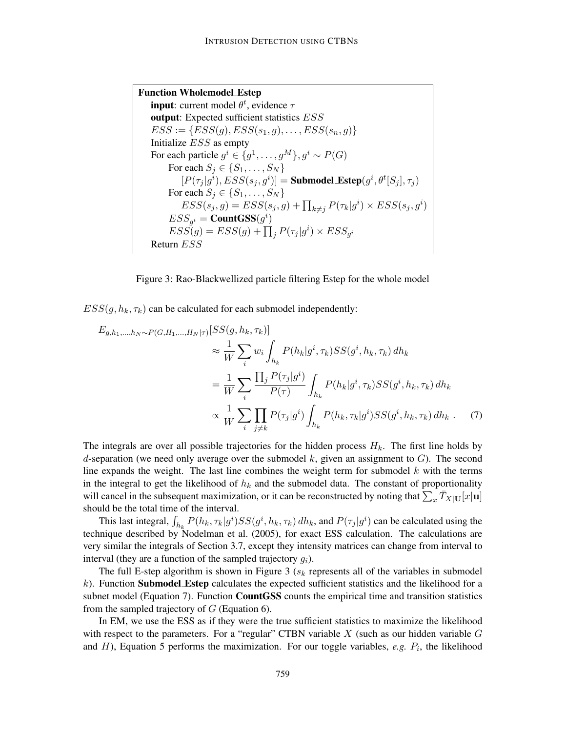Function Wholemodel Estep **input**: current model  $\theta^t$ , evidence  $\tau$ output: Expected sufficient statistics ESS  $ESS := \{ESS(g),ESS(s_1, g), \ldots,ESS(s_n, g)\}$ Initialize ESS as empty For each particle  $g^i \in \{g^1, \ldots, g^M\}, g^i \sim P(G)$ For each  $S_j \in \{S_1, \ldots, S_N\}$  $[P(\tau_j | g^i), ESS(s_j, g^i)] = \textbf{Submodel\_Estep}(g^i, \theta^t [S_j], \tau_j)$ For each  $S_j \in \{S_1, \ldots, S_N\}$  $ESS(s_j, g) = ESS(s_j, g) + \prod_{k \neq j} P(\tau_k | g^i) \times ESS(s_j, g^i)$  $ESS_{g^i} = \mathbf{CountGSS}(g^i)$  $ESS(g) = ESS(g) + \prod_j P(\tau_j|g^i) \times ESS_{g^i}$ Return ESS

Figure 3: Rao-Blackwellized particle filtering Estep for the whole model

 $ESS(q, h_k, \tau_k)$  can be calculated for each submodel independently:

$$
E_{g,h_1,...,h_N \sim P(G,H_1,...,H_N|\tau)}[SS(g, h_k, \tau_k)]
$$
  
\n
$$
\approx \frac{1}{W} \sum_i w_i \int_{h_k} P(h_k|g^i, \tau_k)SS(g^i, h_k, \tau_k) dh_k
$$
  
\n
$$
= \frac{1}{W} \sum_i \frac{\prod_j P(\tau_j|g^i)}{P(\tau)} \int_{h_k} P(h_k|g^i, \tau_k)SS(g^i, h_k, \tau_k) dh_k
$$
  
\n
$$
\propto \frac{1}{W} \sum_i \prod_{j \neq k} P(\tau_j|g^i) \int_{h_k} P(h_k, \tau_k|g^i)SS(g^i, h_k, \tau_k) dh_k . \quad (7)
$$

The integrals are over all possible trajectories for the hidden process  $H_k$ . The first line holds by d-separation (we need only average over the submodel k, given an assignment to  $G$ ). The second line expands the weight. The last line combines the weight term for submodel  $k$  with the terms in the integral to get the likelihood of  $h_k$  and the submodel data. The constant of proportionality will cancel in the subsequent maximization, or it can be reconstructed by noting that  $\sum_x \bar{T}_{X|U}[x|\mathbf{u}]$ should be the total time of the interval.

This last integral,  $\int_{h_k} P(h_k, \tau_k | g^i) S S(g^i, h_k, \tau_k) dh_k$ , and  $P(\tau_j | g^i)$  can be calculated using the technique described by Nodelman et al. (2005), for exact ESS calculation. The calculations are very similar the integrals of Section 3.7, except they intensity matrices can change from interval to interval (they are a function of the sampled trajectory  $g_i$ ).

The full E-step algorithm is shown in Figure 3 ( $s_k$  represents all of the variables in submodel  $k$ ). Function **Submodel Estep** calculates the expected sufficient statistics and the likelihood for a subnet model (Equation 7). Function CountGSS counts the empirical time and transition statistics from the sampled trajectory of  $G$  (Equation 6).

In EM, we use the ESS as if they were the true sufficient statistics to maximize the likelihood with respect to the parameters. For a "regular" CTBN variable  $X$  (such as our hidden variable  $G$ and  $H$ ), Equation 5 performs the maximization. For our toggle variables,  $e.g. P<sub>i</sub>$ , the likelihood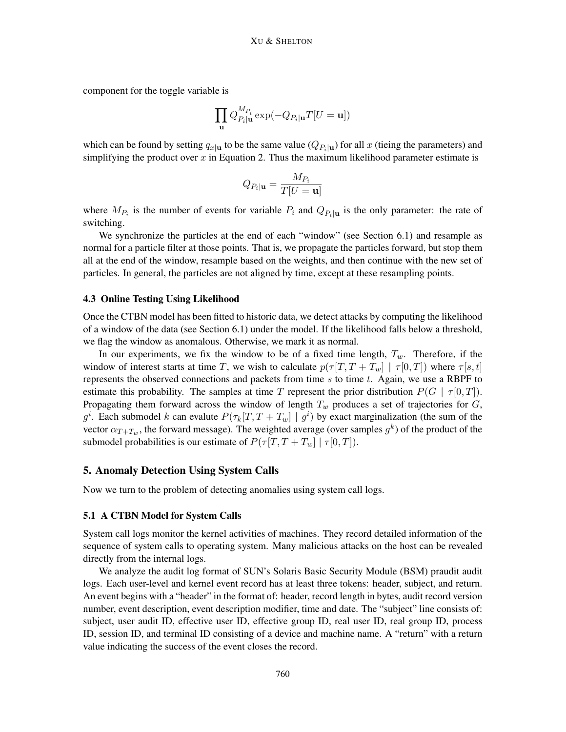component for the toggle variable is

$$
\prod_{\mathbf{u}} Q_{P_i|\mathbf{u}}^{M_{P_i}} \exp(-Q_{P_i|\mathbf{u}} T[U=\mathbf{u}])
$$

which can be found by setting  $q_{x|u}$  to be the same value  $(Q_{P_i|u})$  for all x (tieing the parameters) and simplifying the product over  $x$  in Equation 2. Thus the maximum likelihood parameter estimate is

$$
Q_{P_i|\mathbf{u}}=\frac{M_{P_i}}{T[U=\mathbf{u}]}
$$

where  $M_{P_i}$  is the number of events for variable  $P_i$  and  $Q_{P_i|\mathbf{u}}$  is the only parameter: the rate of switching.

We synchronize the particles at the end of each "window" (see Section 6.1) and resample as normal for a particle filter at those points. That is, we propagate the particles forward, but stop them all at the end of the window, resample based on the weights, and then continue with the new set of particles. In general, the particles are not aligned by time, except at these resampling points.

### 4.3 Online Testing Using Likelihood

Once the CTBN model has been fitted to historic data, we detect attacks by computing the likelihood of a window of the data (see Section 6.1) under the model. If the likelihood falls below a threshold, we flag the window as anomalous. Otherwise, we mark it as normal.

In our experiments, we fix the window to be of a fixed time length,  $T_w$ . Therefore, if the window of interest starts at time T, we wish to calculate  $p(\tau | T, T + T_w] | \tau[0, T]$  where  $\tau[s, t]$ represents the observed connections and packets from time  $s$  to time  $t$ . Again, we use a RBPF to estimate this probability. The samples at time T represent the prior distribution  $P(G | \tau[0,T])$ . Propagating them forward across the window of length  $T_w$  produces a set of trajectories for  $G$ , g<sup>i</sup>. Each submodel k can evalute  $P(\tau_k[T, T + T_w] | g^i)$  by exact marginalization (the sum of the vector  $\alpha_{T+T_w}$ , the forward message). The weighted average (over samples  $g^k$ ) of the product of the submodel probabilities is our estimate of  $P(\tau | T, T + T_w | \mid \tau | 0, T]).$ 

## 5. Anomaly Detection Using System Calls

Now we turn to the problem of detecting anomalies using system call logs.

### 5.1 A CTBN Model for System Calls

System call logs monitor the kernel activities of machines. They record detailed information of the sequence of system calls to operating system. Many malicious attacks on the host can be revealed directly from the internal logs.

We analyze the audit log format of SUN's Solaris Basic Security Module (BSM) praudit audit logs. Each user-level and kernel event record has at least three tokens: header, subject, and return. An event begins with a "header" in the format of: header, record length in bytes, audit record version number, event description, event description modifier, time and date. The "subject" line consists of: subject, user audit ID, effective user ID, effective group ID, real user ID, real group ID, process ID, session ID, and terminal ID consisting of a device and machine name. A "return" with a return value indicating the success of the event closes the record.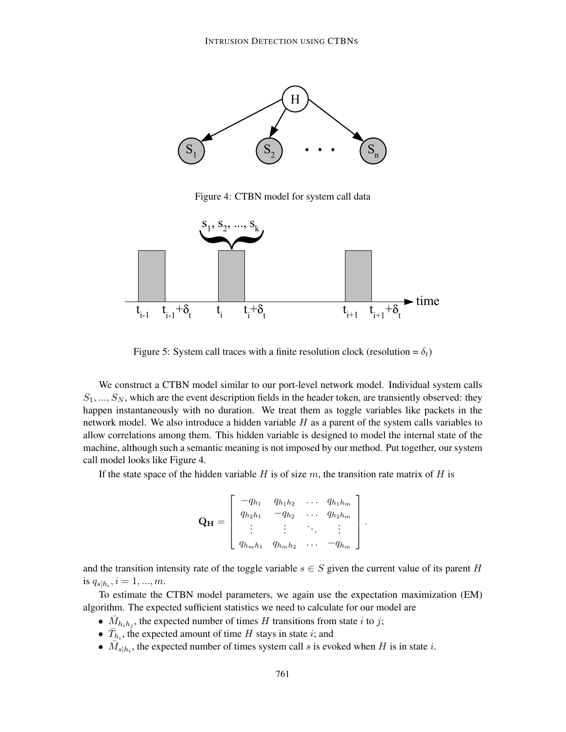

Figure 4: CTBN model for system call data



Figure 5: System call traces with a finite resolution clock (resolution =  $\delta_t$ )

We construct a CTBN model similar to our port-level network model. Individual system calls  $S_1, ..., S_N$ , which are the event description fields in the header token, are transiently observed: they happen instantaneously with no duration. We treat them as toggle variables like packets in the network model. We also introduce a hidden variable  $H$  as a parent of the system calls variables to allow correlations among them. This hidden variable is designed to model the internal state of the machine, although such a semantic meaning is not imposed by our method. Put together, our system call model looks like Figure 4.

If the state space of the hidden variable H is of size  $m$ , the transition rate matrix of H is

$$
\mathbf{Q}_{\mathbf{H}} = \left[ \begin{array}{cccc} -q_{h_1} & q_{h_1h_2} & \dots & q_{h_1h_m} \\ q_{h_2h_1} & -q_{h_2} & \dots & q_{h_2h_m} \\ \vdots & \vdots & \ddots & \vdots \\ q_{h_mh_1} & q_{h_mh_2} & \dots & -q_{h_m} \end{array} \right].
$$

and the transition intensity rate of the toggle variable  $s \in S$  given the current value of its parent H is  $q_{s|h_i}, i = 1, ..., m$ .

To estimate the CTBN model parameters, we again use the expectation maximization (EM) algorithm. The expected sufficient statistics we need to calculate for our model are

- $\bar{M}_{h_i h_j}$ , the expected number of times H transitions from state i to j;
- $\bar{T}_{h_i}$ , the expected amount of time H stays in state i; and
- $\overline{M}_{s|h_i}$ , the expected number of times system call s is evoked when H is in state i.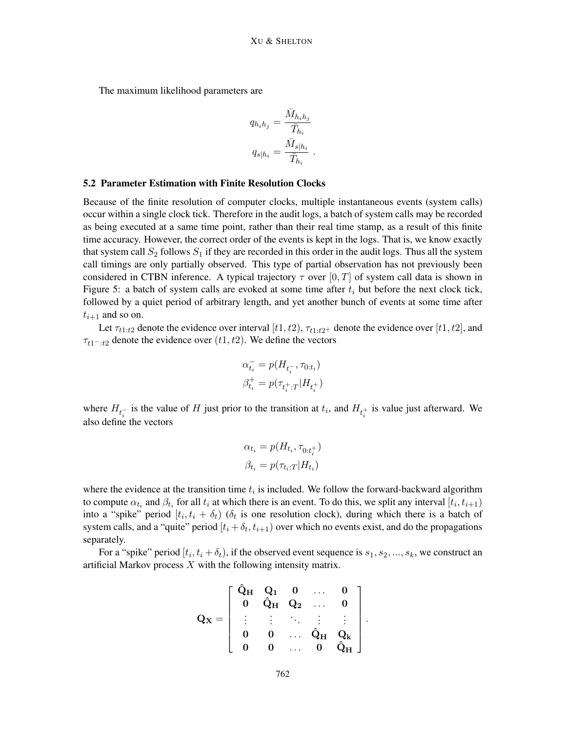The maximum likelihood parameters are

$$
q_{h_i h_j} = \frac{\bar{M}_{h_i h_j}}{\bar{T}_{h_i}}
$$

$$
q_{s|h_i} = \frac{\bar{M}_{s|h_i}}{\bar{T}_{h_i}}.
$$

### 5.2 Parameter Estimation with Finite Resolution Clocks

Because of the finite resolution of computer clocks, multiple instantaneous events (system calls) occur within a single clock tick. Therefore in the audit logs, a batch of system calls may be recorded as being executed at a same time point, rather than their real time stamp, as a result of this finite time accuracy. However, the correct order of the events is kept in the logs. That is, we know exactly that system call  $S_2$  follows  $S_1$  if they are recorded in this order in the audit logs. Thus all the system call timings are only partially observed. This type of partial observation has not previously been considered in CTBN inference. A typical trajectory  $\tau$  over [0, T] of system call data is shown in Figure 5: a batch of system calls are evoked at some time after  $t_i$  but before the next clock tick, followed by a quiet period of arbitrary length, and yet another bunch of events at some time after  $t_{i+1}$  and so on.

Let  $\tau_{t1:t2}$  denote the evidence over interval  $[t1, t2)$ ,  $\tau_{t1:t2+}$  denote the evidence over  $[t1, t2]$ , and  $\tau_{t1-t2}$  denote the evidence over  $(t1, t2)$ . We define the vectors

$$
\alpha_{t_i}^- = p(H_{t_i^-}, \tau_{0:t_i})
$$
  

$$
\beta_{t_i}^+ = p(\tau_{t_i^+,T}|H_{t_i^+})
$$

where  $H_{t_i^-}$  is the value of H just prior to the transition at  $t_i$ , and  $H_{t_i^+}$  is value just afterward. We also define the vectors

$$
\alpha_{t_i} = p(H_{t_i}, \tau_{0:t_i^+})
$$

$$
\beta_{t_i} = p(\tau_{t_i:T}|H_{t_i})
$$

where the evidence at the transition time  $t_i$  is included. We follow the forward-backward algorithm to compute  $\alpha_{t_i}$  and  $\beta_{t_i}$  for all  $t_i$  at which there is an event. To do this, we split any interval  $[t_i, t_{i+1})$ into a "spike" period  $[t_i, t_i + \delta_t]$  ( $\delta_t$  is one resolution clock), during which there is a batch of system calls, and a "quite" period  $[t_i + \delta_t, t_{i+1})$  over which no events exist, and do the propagations separately.

For a "spike" period  $[t_i, t_i + \delta_t)$ , if the observed event sequence is  $s_1, s_2, ..., s_k$ , we construct an artificial Markov process  $X$  with the following intensity matrix.

$$
Q_X=\left[\begin{array}{ccccc} \hat{Q}_H & Q_1 & 0 & \ldots & 0 \\ 0 & \hat{Q}_H & Q_2 & \ldots & 0 \\ \vdots & \vdots & \ddots & \vdots & \vdots \\ 0 & 0 & \ldots & \hat{Q}_H & Q_k \\ 0 & 0 & \ldots & 0 & \hat{Q}_H \end{array}\right].
$$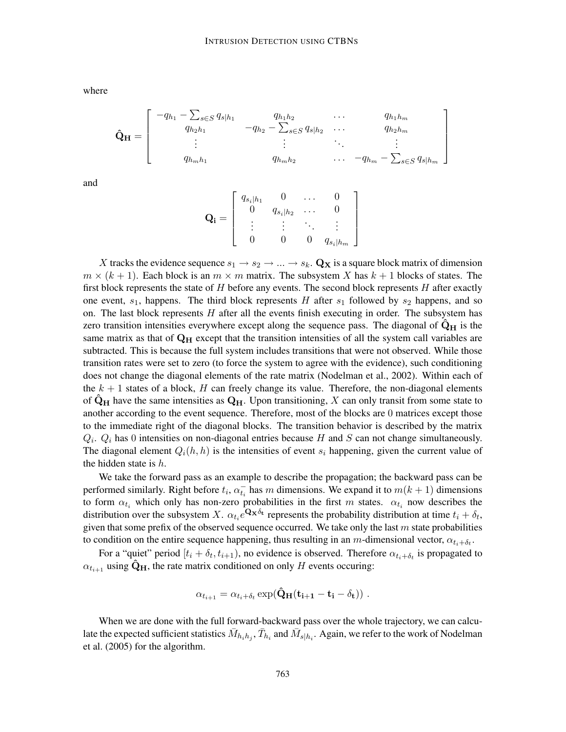where

$$
\hat{\mathbf{Q}}_{\mathbf{H}} = \begin{bmatrix}\n-q_{h_1} - \sum_{s \in S} q_{s|h_1} & q_{h_1h_2} & \cdots & q_{h_1h_m} \\
q_{h_2h_1} & -q_{h_2} - \sum_{s \in S} q_{s|h_2} & \cdots & q_{h_2h_m} \\
\vdots & \vdots & \ddots & \vdots \\
q_{h_mh_1} & q_{h_mh_2} & \cdots & -q_{h_m} - \sum_{s \in S} q_{s|h_m}\n\end{bmatrix}
$$

and

$$
\mathbf{Q_i} = \left[ \begin{array}{cccc} q_{s_i|h_1} & 0 & \dots & 0 \\ 0 & q_{s_i|h_2} & \dots & 0 \\ \vdots & \vdots & \ddots & \vdots \\ 0 & 0 & 0 & q_{s_i|h_m} \end{array} \right]
$$

X tracks the evidence sequence  $s_1 \rightarrow s_2 \rightarrow \dots \rightarrow s_k$ . Q<sub>X</sub> is a square block matrix of dimension  $m \times (k+1)$ . Each block is an  $m \times m$  matrix. The subsystem X has  $k+1$  blocks of states. The first block represents the state of  $H$  before any events. The second block represents  $H$  after exactly one event,  $s_1$ , happens. The third block represents H after  $s_1$  followed by  $s_2$  happens, and so on. The last block represents  $H$  after all the events finish executing in order. The subsystem has zero transition intensities everywhere except along the sequence pass. The diagonal of  $\hat{Q}_H$  is the same matrix as that of  $\mathbf{Q}_{\mathbf{H}}$  except that the transition intensities of all the system call variables are subtracted. This is because the full system includes transitions that were not observed. While those transition rates were set to zero (to force the system to agree with the evidence), such conditioning does not change the diagonal elements of the rate matrix (Nodelman et al., 2002). Within each of the  $k + 1$  states of a block, H can freely change its value. Therefore, the non-diagonal elements of  $\ddot{\mathbf{Q}}_{\mathbf{H}}$  have the same intensities as  $\mathbf{Q}_{\mathbf{H}}$ . Upon transitioning, X can only transit from some state to another according to the event sequence. Therefore, most of the blocks are 0 matrices except those to the immediate right of the diagonal blocks. The transition behavior is described by the matrix  $Q_i$ .  $Q_i$  has 0 intensities on non-diagonal entries because H and S can not change simultaneously. The diagonal element  $Q_i(h, h)$  is the intensities of event  $s_i$  happening, given the current value of the hidden state is  $h$ .

We take the forward pass as an example to describe the propagation; the backward pass can be performed similarly. Right before  $t_i$ ,  $\alpha_{t_i}^-$  has m dimensions. We expand it to  $m(k+1)$  dimensions to form  $\alpha_{t_i}$  which only has non-zero probabilities in the first m states.  $\alpha_{t_i}$  now describes the distribution over the subsystem X.  $\alpha_{t_i}e^{\mathbf{Q_x}\delta_t}$  represents the probability distribution at time  $t_i + \delta_t$ , given that some prefix of the observed sequence occurred. We take only the last  $m$  state probabilities to condition on the entire sequence happening, thus resulting in an m-dimensional vector,  $\alpha_{t_i+\delta_t}$ .

For a "quiet" period  $[t_i + \delta_t, t_{i+1})$ , no evidence is observed. Therefore  $\alpha_{t_i + \delta_t}$  is propagated to  $\alpha_{t_{i+1}}$  using  $\ddot{\mathbf{Q}}_{\mathbf{H}}$ , the rate matrix conditioned on only H events occuring:

$$
\alpha_{t_{i+1}} = \alpha_{t_i + \delta_t} \exp(\hat{\mathbf{Q}}_{\mathbf{H}}(\mathbf{t}_{i+1} - \mathbf{t}_i - \delta_{\mathbf{t}})) \ .
$$

When we are done with the full forward-backward pass over the whole trajectory, we can calculate the expected sufficient statistics  $\bar{M}_{h_ih_j}, \bar{T}_{h_i}$  and  $\bar{M}_{s|h_i}.$  Again, we refer to the work of Nodelman et al. (2005) for the algorithm.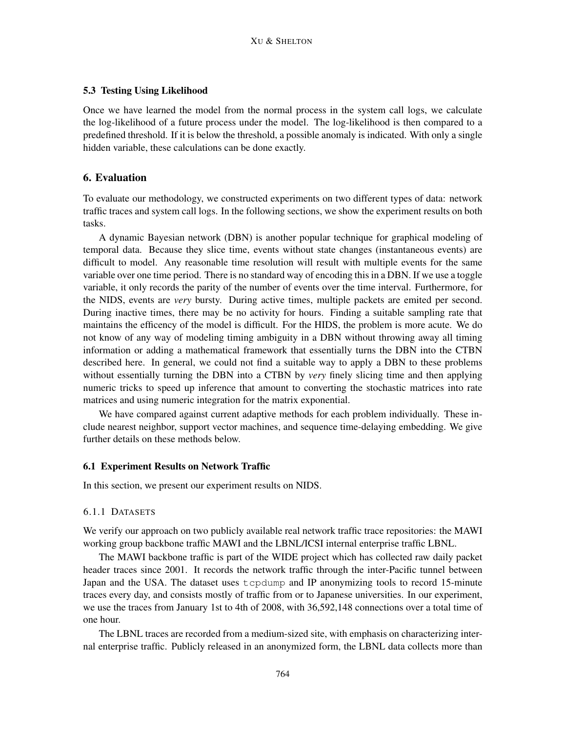## 5.3 Testing Using Likelihood

Once we have learned the model from the normal process in the system call logs, we calculate the log-likelihood of a future process under the model. The log-likelihood is then compared to a predefined threshold. If it is below the threshold, a possible anomaly is indicated. With only a single hidden variable, these calculations can be done exactly.

## 6. Evaluation

To evaluate our methodology, we constructed experiments on two different types of data: network traffic traces and system call logs. In the following sections, we show the experiment results on both tasks.

A dynamic Bayesian network (DBN) is another popular technique for graphical modeling of temporal data. Because they slice time, events without state changes (instantaneous events) are difficult to model. Any reasonable time resolution will result with multiple events for the same variable over one time period. There is no standard way of encoding this in a DBN. If we use a toggle variable, it only records the parity of the number of events over the time interval. Furthermore, for the NIDS, events are *very* bursty. During active times, multiple packets are emited per second. During inactive times, there may be no activity for hours. Finding a suitable sampling rate that maintains the efficency of the model is difficult. For the HIDS, the problem is more acute. We do not know of any way of modeling timing ambiguity in a DBN without throwing away all timing information or adding a mathematical framework that essentially turns the DBN into the CTBN described here. In general, we could not find a suitable way to apply a DBN to these problems without essentially turning the DBN into a CTBN by *very* finely slicing time and then applying numeric tricks to speed up inference that amount to converting the stochastic matrices into rate matrices and using numeric integration for the matrix exponential.

We have compared against current adaptive methods for each problem individually. These include nearest neighbor, support vector machines, and sequence time-delaying embedding. We give further details on these methods below.

## 6.1 Experiment Results on Network Traffic

In this section, we present our experiment results on NIDS.

### 6.1.1 DATASETS

We verify our approach on two publicly available real network traffic trace repositories: the MAWI working group backbone traffic MAWI and the LBNL/ICSI internal enterprise traffic LBNL.

The MAWI backbone traffic is part of the WIDE project which has collected raw daily packet header traces since 2001. It records the network traffic through the inter-Pacific tunnel between Japan and the USA. The dataset uses tcpdump and IP anonymizing tools to record 15-minute traces every day, and consists mostly of traffic from or to Japanese universities. In our experiment, we use the traces from January 1st to 4th of 2008, with 36,592,148 connections over a total time of one hour.

The LBNL traces are recorded from a medium-sized site, with emphasis on characterizing internal enterprise traffic. Publicly released in an anonymized form, the LBNL data collects more than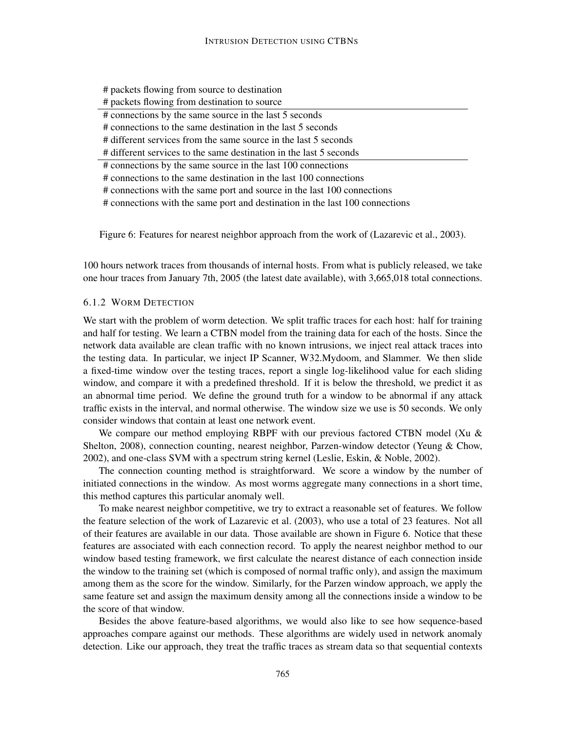- # packets flowing from source to destination
- # packets flowing from destination to source
- # connections by the same source in the last 5 seconds

# connections to the same destination in the last 5 seconds

# different services from the same source in the last 5 seconds

# different services to the same destination in the last 5 seconds

# connections by the same source in the last 100 connections

# connections to the same destination in the last 100 connections

# connections with the same port and source in the last 100 connections

# connections with the same port and destination in the last 100 connections

Figure 6: Features for nearest neighbor approach from the work of (Lazarevic et al., 2003).

100 hours network traces from thousands of internal hosts. From what is publicly released, we take one hour traces from January 7th, 2005 (the latest date available), with 3,665,018 total connections.

## 6.1.2 WORM DETECTION

We start with the problem of worm detection. We split traffic traces for each host: half for training and half for testing. We learn a CTBN model from the training data for each of the hosts. Since the network data available are clean traffic with no known intrusions, we inject real attack traces into the testing data. In particular, we inject IP Scanner, W32.Mydoom, and Slammer. We then slide a fixed-time window over the testing traces, report a single log-likelihood value for each sliding window, and compare it with a predefined threshold. If it is below the threshold, we predict it as an abnormal time period. We define the ground truth for a window to be abnormal if any attack traffic exists in the interval, and normal otherwise. The window size we use is 50 seconds. We only consider windows that contain at least one network event.

We compare our method employing RBPF with our previous factored CTBN model (Xu & Shelton, 2008), connection counting, nearest neighbor, Parzen-window detector (Yeung & Chow, 2002), and one-class SVM with a spectrum string kernel (Leslie, Eskin, & Noble, 2002).

The connection counting method is straightforward. We score a window by the number of initiated connections in the window. As most worms aggregate many connections in a short time, this method captures this particular anomaly well.

To make nearest neighbor competitive, we try to extract a reasonable set of features. We follow the feature selection of the work of Lazarevic et al. (2003), who use a total of 23 features. Not all of their features are available in our data. Those available are shown in Figure 6. Notice that these features are associated with each connection record. To apply the nearest neighbor method to our window based testing framework, we first calculate the nearest distance of each connection inside the window to the training set (which is composed of normal traffic only), and assign the maximum among them as the score for the window. Similarly, for the Parzen window approach, we apply the same feature set and assign the maximum density among all the connections inside a window to be the score of that window.

Besides the above feature-based algorithms, we would also like to see how sequence-based approaches compare against our methods. These algorithms are widely used in network anomaly detection. Like our approach, they treat the traffic traces as stream data so that sequential contexts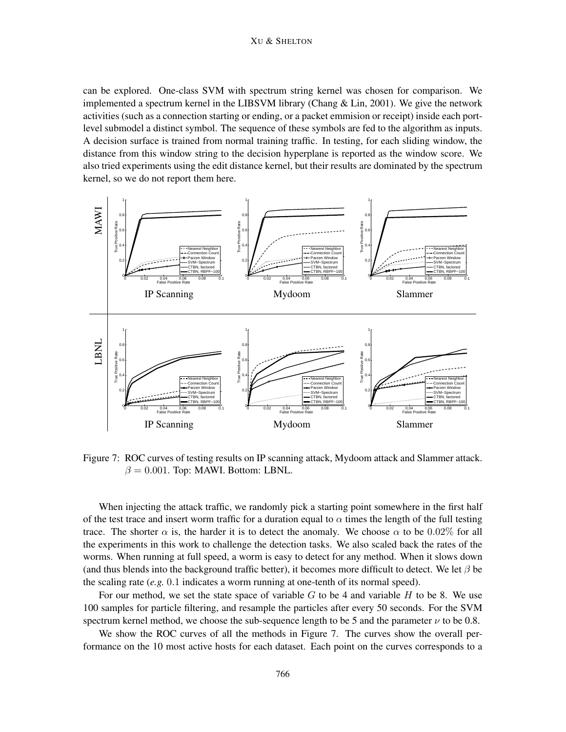#### XU & SHELTON

can be explored. One-class SVM with spectrum string kernel was chosen for comparison. We implemented a spectrum kernel in the LIBSVM library (Chang  $&$  Lin, 2001). We give the network activities (such as a connection starting or ending, or a packet emmision or receipt) inside each portlevel submodel a distinct symbol. The sequence of these symbols are fed to the algorithm as inputs. A decision surface is trained from normal training traffic. In testing, for each sliding window, the distance from this window string to the decision hyperplane is reported as the window score. We also tried experiments using the edit distance kernel, but their results are dominated by the spectrum kernel, so we do not report them here.



Figure 7: ROC curves of testing results on IP scanning attack, Mydoom attack and Slammer attack.  $\beta = 0.001$ . Top: MAWI. Bottom: LBNL.

When injecting the attack traffic, we randomly pick a starting point somewhere in the first half of the test trace and insert worm traffic for a duration equal to  $\alpha$  times the length of the full testing trace. The shorter  $\alpha$  is, the harder it is to detect the anomaly. We choose  $\alpha$  to be 0.02% for all the experiments in this work to challenge the detection tasks. We also scaled back the rates of the worms. When running at full speed, a worm is easy to detect for any method. When it slows down (and thus blends into the background traffic better), it becomes more difficult to detect. We let  $\beta$  be the scaling rate (*e.g.* 0.1 indicates a worm running at one-tenth of its normal speed).

For our method, we set the state space of variable  $G$  to be 4 and variable  $H$  to be 8. We use 100 samples for particle filtering, and resample the particles after every 50 seconds. For the SVM spectrum kernel method, we choose the sub-sequence length to be 5 and the parameter  $\nu$  to be 0.8.

We show the ROC curves of all the methods in Figure 7. The curves show the overall performance on the 10 most active hosts for each dataset. Each point on the curves corresponds to a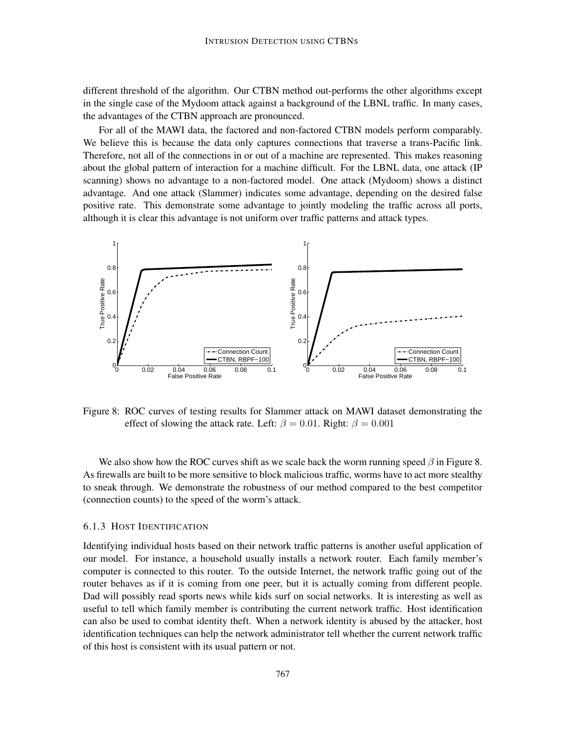different threshold of the algorithm. Our CTBN method out-performs the other algorithms except in the single case of the Mydoom attack against a background of the LBNL traffic. In many cases, the advantages of the CTBN approach are pronounced.

For all of the MAWI data, the factored and non-factored CTBN models perform comparably. We believe this is because the data only captures connections that traverse a trans-Pacific link. Therefore, not all of the connections in or out of a machine are represented. This makes reasoning about the global pattern of interaction for a machine difficult. For the LBNL data, one attack (IP scanning) shows no advantage to a non-factored model. One attack (Mydoom) shows a distinct advantage. And one attack (Slammer) indicates some advantage, depending on the desired false positive rate. This demonstrate some advantage to jointly modeling the traffic across all ports, although it is clear this advantage is not uniform over traffic patterns and attack types.



Figure 8: ROC curves of testing results for Slammer attack on MAWI dataset demonstrating the effect of slowing the attack rate. Left:  $\beta = 0.01$ . Right:  $\beta = 0.001$ 

We also show how the ROC curves shift as we scale back the worm running speed  $\beta$  in Figure 8. As firewalls are built to be more sensitive to block malicious traffic, worms have to act more stealthy to sneak through. We demonstrate the robustness of our method compared to the best competitor (connection counts) to the speed of the worm's attack.

### 6.1.3 HOST IDENTIFICATION

Identifying individual hosts based on their network traffic patterns is another useful application of our model. For instance, a household usually installs a network router. Each family member's computer is connected to this router. To the outside Internet, the network traffic going out of the router behaves as if it is coming from one peer, but it is actually coming from different people. Dad will possibly read sports news while kids surf on social networks. It is interesting as well as useful to tell which family member is contributing the current network traffic. Host identification can also be used to combat identity theft. When a network identity is abused by the attacker, host identification techniques can help the network administrator tell whether the current network traffic of this host is consistent with its usual pattern or not.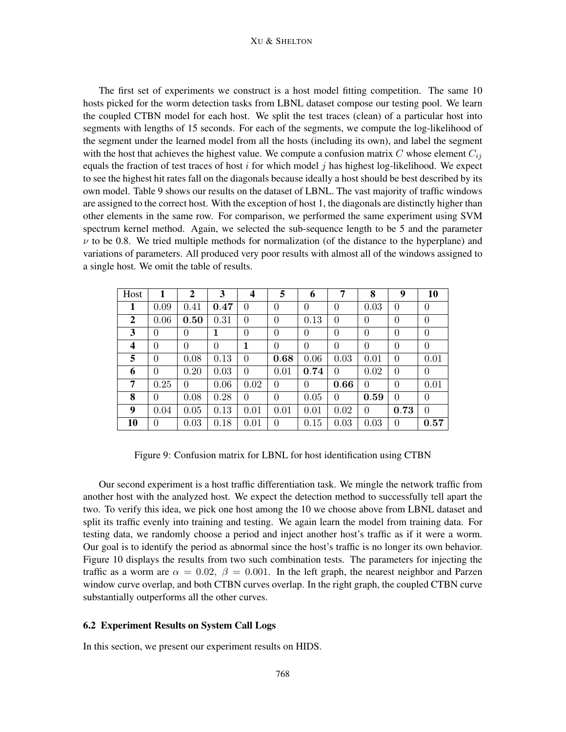#### XU & SHELTON

The first set of experiments we construct is a host model fitting competition. The same 10 hosts picked for the worm detection tasks from LBNL dataset compose our testing pool. We learn the coupled CTBN model for each host. We split the test traces (clean) of a particular host into segments with lengths of 15 seconds. For each of the segments, we compute the log-likelihood of the segment under the learned model from all the hosts (including its own), and label the segment with the host that achieves the highest value. We compute a confusion matrix C whose element  $C_{ij}$ equals the fraction of test traces of host i for which model j has highest log-likelihood. We expect to see the highest hit rates fall on the diagonals because ideally a host should be best described by its own model. Table 9 shows our results on the dataset of LBNL. The vast majority of traffic windows are assigned to the correct host. With the exception of host 1, the diagonals are distinctly higher than other elements in the same row. For comparison, we performed the same experiment using SVM spectrum kernel method. Again, we selected the sub-sequence length to be 5 and the parameter  $\nu$  to be 0.8. We tried multiple methods for normalization (of the distance to the hyperplane) and variations of parameters. All produced very poor results with almost all of the windows assigned to a single host. We omit the table of results.

| Host | 1              | $\mathbf{2}$ | 3              | 4        | 5                | 6        | 7              | 8              | 9              | 10             |
|------|----------------|--------------|----------------|----------|------------------|----------|----------------|----------------|----------------|----------------|
| 1    | 0.09           | 0.41         | 0.47           | $\theta$ | $\theta$         | $\Omega$ | 0              | 0.03           | $\theta$       | $\overline{0}$ |
| 2    | 0.06           | 0.50         | 0.31           | $\theta$ | $\boldsymbol{0}$ | 0.13     | $\Omega$       | $\theta$       | $\overline{0}$ | $\overline{0}$ |
| 3    | 0              | 0            | 1              | $\theta$ | $\overline{0}$   | $\Omega$ | 0              | $\overline{0}$ | $\theta$       | $\overline{0}$ |
| 4    | $\overline{0}$ | $\theta$     | $\overline{0}$ | 1        | $\overline{0}$   | $\theta$ | $\overline{0}$ | $\overline{0}$ | $\overline{0}$ | $\overline{0}$ |
| 5    | $\theta$       | 0.08         | 0.13           | $\theta$ | 0.68             | 0.06     | 0.03           | 0.01           | $\theta$       | 0.01           |
| 6    | $\Omega$       | 0.20         | 0.03           | $\theta$ | 0.01             | 0.74     | 0              | 0.02           | $\theta$       | $\overline{0}$ |
| 7    | 0.25           | 0            | 0.06           | 0.02     | 0                | $\theta$ | 0.66           | $\theta$       | $\theta$       | 0.01           |
| 8    | 0              | 0.08         | 0.28           | 0        | 0                | 0.05     | $\Omega$       | 0.59           | $\theta$       | $\overline{0}$ |
| 9    | 0.04           | 0.05         | 0.13           | 0.01     | 0.01             | 0.01     | 0.02           | $\theta$       | 0.73           | $\theta$       |
| 10   | 0              | 0.03         | 0.18           | 0.01     | 0                | 0.15     | 0.03           | 0.03           | 0              | 0.57           |

Figure 9: Confusion matrix for LBNL for host identification using CTBN

Our second experiment is a host traffic differentiation task. We mingle the network traffic from another host with the analyzed host. We expect the detection method to successfully tell apart the two. To verify this idea, we pick one host among the 10 we choose above from LBNL dataset and split its traffic evenly into training and testing. We again learn the model from training data. For testing data, we randomly choose a period and inject another host's traffic as if it were a worm. Our goal is to identify the period as abnormal since the host's traffic is no longer its own behavior. Figure 10 displays the results from two such combination tests. The parameters for injecting the traffic as a worm are  $\alpha = 0.02$ ,  $\beta = 0.001$ . In the left graph, the nearest neighbor and Parzen window curve overlap, and both CTBN curves overlap. In the right graph, the coupled CTBN curve substantially outperforms all the other curves.

## 6.2 Experiment Results on System Call Logs

In this section, we present our experiment results on HIDS.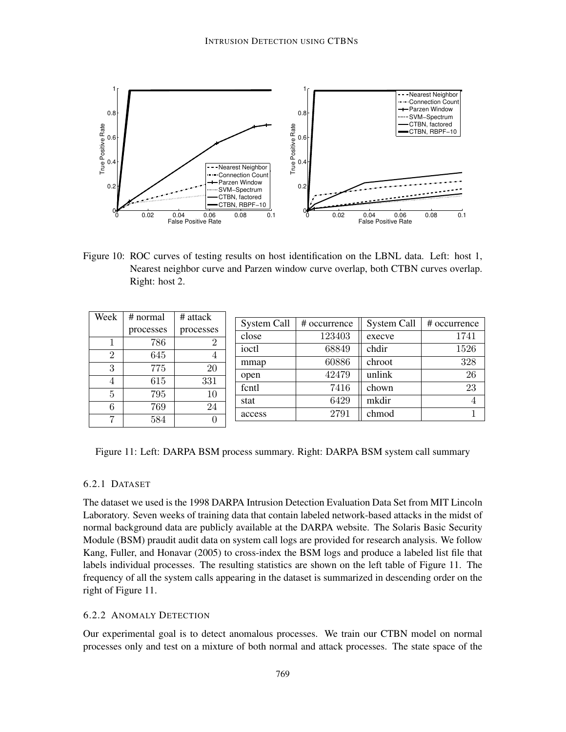

Figure 10: ROC curves of testing results on host identification on the LBNL data. Left: host 1, Nearest neighbor curve and Parzen window curve overlap, both CTBN curves overlap. Right: host 2.

| Week           | # normal  | # attack       |             |              |             |              |
|----------------|-----------|----------------|-------------|--------------|-------------|--------------|
|                |           |                | System Call | # occurrence | System Call | # occurrence |
|                | processes | processes      | close       | 123403       | execve      | 1741         |
| л.             | 786       | $\overline{2}$ |             |              |             |              |
| $\overline{2}$ | 645       |                | ioctl       | 68849        | chdir       | 1526         |
|                |           | 4              | mmap        | 60886        | chroot      | 328          |
| 3              | 775       | 20             |             |              |             |              |
| 4              | 615       | 331            | open        | 42479        | unlink      | 26           |
|                |           |                | fcntl       | 7416         | chown       | 23           |
| 5              | 795       | 10             |             |              |             |              |
|                |           |                | stat        | 6429         | mkdir       | 4            |
| 6              | 769       | 24             | access      | 2791         | chmod       |              |
| 7              | 584       | 0              |             |              |             |              |
|                |           |                |             |              |             |              |

Figure 11: Left: DARPA BSM process summary. Right: DARPA BSM system call summary

## 6.2.1 DATASET

The dataset we used is the 1998 DARPA Intrusion Detection Evaluation Data Set from MIT Lincoln Laboratory. Seven weeks of training data that contain labeled network-based attacks in the midst of normal background data are publicly available at the DARPA website. The Solaris Basic Security Module (BSM) praudit audit data on system call logs are provided for research analysis. We follow Kang, Fuller, and Honavar (2005) to cross-index the BSM logs and produce a labeled list file that labels individual processes. The resulting statistics are shown on the left table of Figure 11. The frequency of all the system calls appearing in the dataset is summarized in descending order on the right of Figure 11.

## 6.2.2 ANOMALY DETECTION

Our experimental goal is to detect anomalous processes. We train our CTBN model on normal processes only and test on a mixture of both normal and attack processes. The state space of the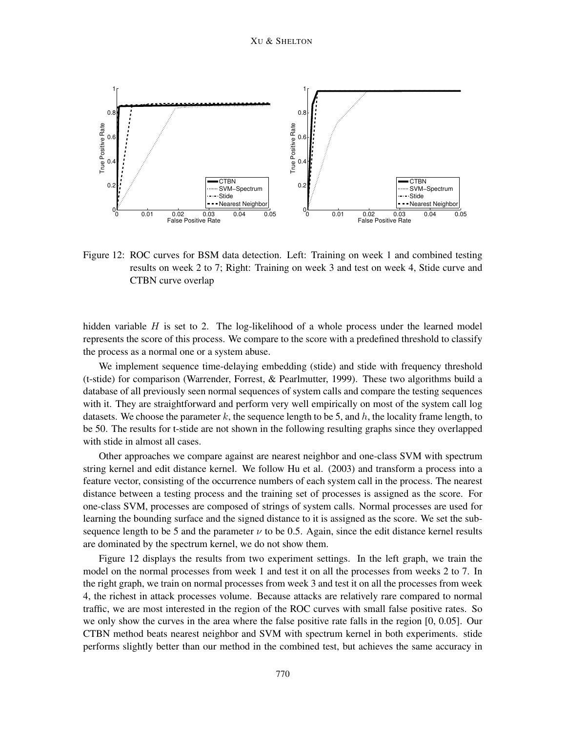

Figure 12: ROC curves for BSM data detection. Left: Training on week 1 and combined testing results on week 2 to 7; Right: Training on week 3 and test on week 4, Stide curve and CTBN curve overlap

hidden variable  $H$  is set to 2. The log-likelihood of a whole process under the learned model represents the score of this process. We compare to the score with a predefined threshold to classify the process as a normal one or a system abuse.

We implement sequence time-delaying embedding (stide) and stide with frequency threshold (t-stide) for comparison (Warrender, Forrest, & Pearlmutter, 1999). These two algorithms build a database of all previously seen normal sequences of system calls and compare the testing sequences with it. They are straightforward and perform very well empirically on most of the system call log datasets. We choose the parameter k, the sequence length to be 5, and  $h$ , the locality frame length, to be 50. The results for t-stide are not shown in the following resulting graphs since they overlapped with stide in almost all cases.

Other approaches we compare against are nearest neighbor and one-class SVM with spectrum string kernel and edit distance kernel. We follow Hu et al. (2003) and transform a process into a feature vector, consisting of the occurrence numbers of each system call in the process. The nearest distance between a testing process and the training set of processes is assigned as the score. For one-class SVM, processes are composed of strings of system calls. Normal processes are used for learning the bounding surface and the signed distance to it is assigned as the score. We set the subsequence length to be 5 and the parameter  $\nu$  to be 0.5. Again, since the edit distance kernel results are dominated by the spectrum kernel, we do not show them.

Figure 12 displays the results from two experiment settings. In the left graph, we train the model on the normal processes from week 1 and test it on all the processes from weeks 2 to 7. In the right graph, we train on normal processes from week 3 and test it on all the processes from week 4, the richest in attack processes volume. Because attacks are relatively rare compared to normal traffic, we are most interested in the region of the ROC curves with small false positive rates. So we only show the curves in the area where the false positive rate falls in the region [0, 0.05]. Our CTBN method beats nearest neighbor and SVM with spectrum kernel in both experiments. stide performs slightly better than our method in the combined test, but achieves the same accuracy in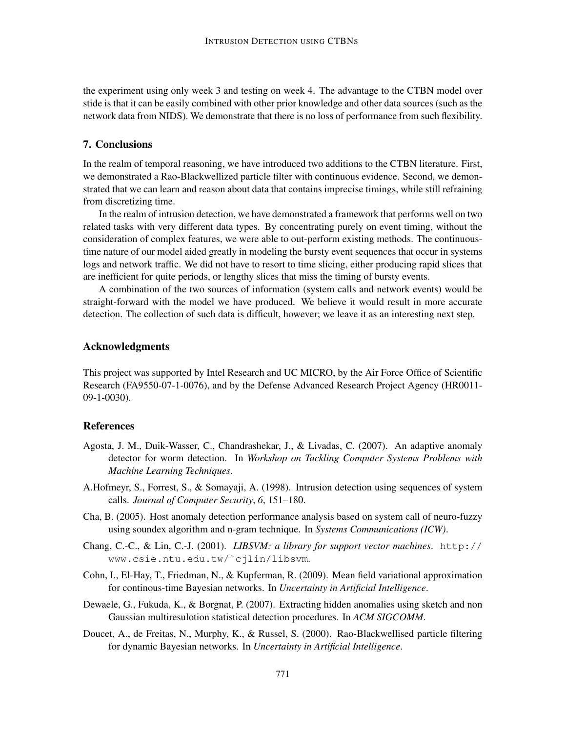the experiment using only week 3 and testing on week 4. The advantage to the CTBN model over stide is that it can be easily combined with other prior knowledge and other data sources (such as the network data from NIDS). We demonstrate that there is no loss of performance from such flexibility.

## 7. Conclusions

In the realm of temporal reasoning, we have introduced two additions to the CTBN literature. First, we demonstrated a Rao-Blackwellized particle filter with continuous evidence. Second, we demonstrated that we can learn and reason about data that contains imprecise timings, while still refraining from discretizing time.

In the realm of intrusion detection, we have demonstrated a framework that performs well on two related tasks with very different data types. By concentrating purely on event timing, without the consideration of complex features, we were able to out-perform existing methods. The continuoustime nature of our model aided greatly in modeling the bursty event sequences that occur in systems logs and network traffic. We did not have to resort to time slicing, either producing rapid slices that are inefficient for quite periods, or lengthy slices that miss the timing of bursty events.

A combination of the two sources of information (system calls and network events) would be straight-forward with the model we have produced. We believe it would result in more accurate detection. The collection of such data is difficult, however; we leave it as an interesting next step.

### Acknowledgments

This project was supported by Intel Research and UC MICRO, by the Air Force Office of Scientific Research (FA9550-07-1-0076), and by the Defense Advanced Research Project Agency (HR0011- 09-1-0030).

## References

- Agosta, J. M., Duik-Wasser, C., Chandrashekar, J., & Livadas, C. (2007). An adaptive anomaly detector for worm detection. In *Workshop on Tackling Computer Systems Problems with Machine Learning Techniques*.
- A.Hofmeyr, S., Forrest, S., & Somayaji, A. (1998). Intrusion detection using sequences of system calls. *Journal of Computer Security*, *6*, 151–180.
- Cha, B. (2005). Host anomaly detection performance analysis based on system call of neuro-fuzzy using soundex algorithm and n-gram technique. In *Systems Communications (ICW)*.
- Chang, C.-C., & Lin, C.-J. (2001). *LIBSVM: a library for support vector machines*. http:// www.csie.ntu.edu.tw/˜cjlin/libsvm.
- Cohn, I., El-Hay, T., Friedman, N., & Kupferman, R. (2009). Mean field variational approximation for continous-time Bayesian networks. In *Uncertainty in Artificial Intelligence*.
- Dewaele, G., Fukuda, K., & Borgnat, P. (2007). Extracting hidden anomalies using sketch and non Gaussian multiresulotion statistical detection procedures. In *ACM SIGCOMM*.
- Doucet, A., de Freitas, N., Murphy, K., & Russel, S. (2000). Rao-Blackwellised particle filtering for dynamic Bayesian networks. In *Uncertainty in Artificial Intelligence*.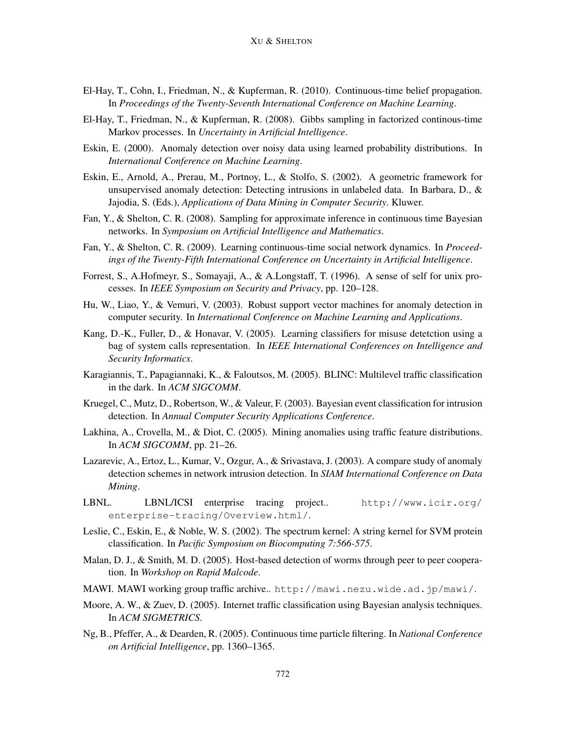- El-Hay, T., Cohn, I., Friedman, N., & Kupferman, R. (2010). Continuous-time belief propagation. In *Proceedings of the Twenty-Seventh International Conference on Machine Learning*.
- El-Hay, T., Friedman, N., & Kupferman, R. (2008). Gibbs sampling in factorized continous-time Markov processes. In *Uncertainty in Artificial Intelligence*.
- Eskin, E. (2000). Anomaly detection over noisy data using learned probability distributions. In *International Conference on Machine Learning*.
- Eskin, E., Arnold, A., Prerau, M., Portnoy, L., & Stolfo, S. (2002). A geometric framework for unsupervised anomaly detection: Detecting intrusions in unlabeled data. In Barbara, D.,  $\&$ Jajodia, S. (Eds.), *Applications of Data Mining in Computer Security*. Kluwer.
- Fan, Y., & Shelton, C. R. (2008). Sampling for approximate inference in continuous time Bayesian networks. In *Symposium on Artificial Intelligence and Mathematics*.
- Fan, Y., & Shelton, C. R. (2009). Learning continuous-time social network dynamics. In *Proceedings of the Twenty-Fifth International Conference on Uncertainty in Artificial Intelligence*.
- Forrest, S., A.Hofmeyr, S., Somayaji, A., & A.Longstaff, T. (1996). A sense of self for unix processes. In *IEEE Symposium on Security and Privacy*, pp. 120–128.
- Hu, W., Liao, Y., & Vemuri, V. (2003). Robust support vector machines for anomaly detection in computer security. In *International Conference on Machine Learning and Applications*.
- Kang, D.-K., Fuller, D., & Honavar, V. (2005). Learning classifiers for misuse detetction using a bag of system calls representation. In *IEEE International Conferences on Intelligence and Security Informatics*.
- Karagiannis, T., Papagiannaki, K., & Faloutsos, M. (2005). BLINC: Multilevel traffic classification in the dark. In *ACM SIGCOMM*.
- Kruegel, C., Mutz, D., Robertson, W., & Valeur, F. (2003). Bayesian event classification for intrusion detection. In *Annual Computer Security Applications Conference*.
- Lakhina, A., Crovella, M., & Diot, C. (2005). Mining anomalies using traffic feature distributions. In *ACM SIGCOMM*, pp. 21–26.
- Lazarevic, A., Ertoz, L., Kumar, V., Ozgur, A., & Srivastava, J. (2003). A compare study of anomaly detection schemes in network intrusion detection. In *SIAM International Conference on Data Mining*.
- LBNL. LBNL/ICSI enterprise tracing project.. http://www.icir.org/ enterprise-tracing/Overview.html/.
- Leslie, C., Eskin, E., & Noble, W. S. (2002). The spectrum kernel: A string kernel for SVM protein classification. In *Pacific Symposium on Biocomputing 7:566-575*.
- Malan, D. J., & Smith, M. D. (2005). Host-based detection of worms through peer to peer cooperation. In *Workshop on Rapid Malcode*.
- MAWI. MAWI working group traffic archive.. http://mawi.nezu.wide.ad.jp/mawi/.
- Moore, A. W., & Zuev, D. (2005). Internet traffic classification using Bayesian analysis techniques. In *ACM SIGMETRICS*.
- Ng, B., Pfeffer, A., & Dearden, R. (2005). Continuous time particle filtering. In *National Conference on Artificial Intelligence*, pp. 1360–1365.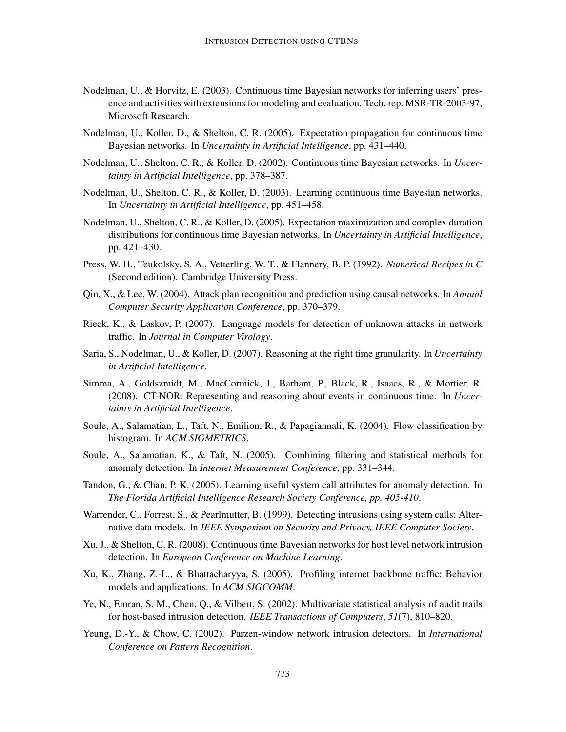- Nodelman, U., & Horvitz, E. (2003). Continuous time Bayesian networks for inferring users' presence and activities with extensions for modeling and evaluation. Tech. rep. MSR-TR-2003-97, Microsoft Research.
- Nodelman, U., Koller, D., & Shelton, C. R. (2005). Expectation propagation for continuous time Bayesian networks. In *Uncertainty in Artificial Intelligence*, pp. 431–440.
- Nodelman, U., Shelton, C. R., & Koller, D. (2002). Continuous time Bayesian networks. In *Uncertainty in Artificial Intelligence*, pp. 378–387.
- Nodelman, U., Shelton, C. R., & Koller, D. (2003). Learning continuous time Bayesian networks. In *Uncertainty in Artificial Intelligence*, pp. 451–458.
- Nodelman, U., Shelton, C. R., & Koller, D. (2005). Expectation maximization and complex duration distributions for continuous time Bayesian networks. In *Uncertainty in Artificial Intelligence*, pp. 421–430.
- Press, W. H., Teukolsky, S. A., Vetterling, W. T., & Flannery, B. P. (1992). *Numerical Recipes in C* (Second edition). Cambridge University Press.
- Qin, X., & Lee, W. (2004). Attack plan recognition and prediction using causal networks. In *Annual Computer Security Application Conference*, pp. 370–379.
- Rieck, K., & Laskov, P. (2007). Language models for detection of unknown attacks in network traffic. In *Journal in Computer Virology*.
- Saria, S., Nodelman, U., & Koller, D. (2007). Reasoning at the right time granularity. In *Uncertainty in Artificial Intelligence*.
- Simma, A., Goldszmidt, M., MacCormick, J., Barham, P., Black, R., Isaacs, R., & Mortier, R. (2008). CT-NOR: Representing and reasoning about events in continuous time. In *Uncertainty in Artificial Intelligence*.
- Soule, A., Salamatian, L., Taft, N., Emilion, R., & Papagiannali, K. (2004). Flow classification by histogram. In *ACM SIGMETRICS*.
- Soule, A., Salamatian, K., & Taft, N. (2005). Combining filtering and statistical methods for anomaly detection. In *Internet Measurement Conference*, pp. 331–344.
- Tandon, G., & Chan, P. K. (2005). Learning useful system call attributes for anomaly detection. In *The Florida Artificial Intelligence Research Society Conference, pp. 405-410*.
- Warrender, C., Forrest, S., & Pearlmutter, B. (1999). Detecting intrusions using system calls: Alternative data models. In *IEEE Symposium on Security and Privacy, IEEE Computer Society*.
- Xu, J., & Shelton, C. R. (2008). Continuous time Bayesian networks for host level network intrusion detection. In *European Conference on Machine Learning*.
- Xu, K., Zhang, Z.-L., & Bhattacharyya, S. (2005). Profiling internet backbone traffic: Behavior models and applications. In *ACM SIGCOMM*.
- Ye, N., Emran, S. M., Chen, Q., & Vilbert, S. (2002). Multivariate statistical analysis of audit trails for host-based intrusion detection. *IEEE Transactions of Computers*, *51*(7), 810–820.
- Yeung, D.-Y., & Chow, C. (2002). Parzen-window network intrusion detectors. In *International Conference on Pattern Recognition*.